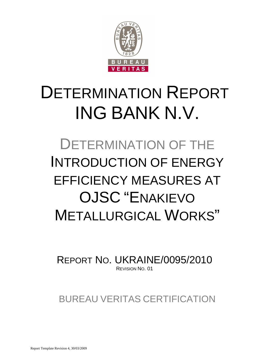

# DETERMINATION REPORT ING BANK N.V.

# DETERMINATION OF THE INTRODUCTION OF ENERGY EFFICIENCY MEASURES AT OJSC "ENAKIEVO METALLURGICAL WORKS"

REPORT NO. UKRAINE/0095/2010 REVISION NO. 01

BUREAU VERITAS CERTIFICATION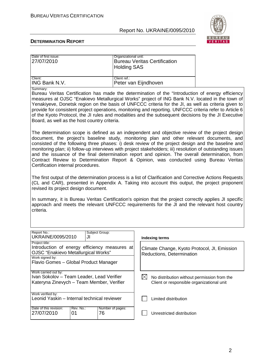

| Date of first issue:<br>27/07/2010                                                                                                                                                                                                                                                                                                                                                                                                                                                                                                                                                                                                                 | Organizational unit:<br><b>Holding SAS</b> | <b>Bureau Veritas Certification</b>                                                                     |  |
|----------------------------------------------------------------------------------------------------------------------------------------------------------------------------------------------------------------------------------------------------------------------------------------------------------------------------------------------------------------------------------------------------------------------------------------------------------------------------------------------------------------------------------------------------------------------------------------------------------------------------------------------------|--------------------------------------------|---------------------------------------------------------------------------------------------------------|--|
| Client:<br>ING Bank N.V.                                                                                                                                                                                                                                                                                                                                                                                                                                                                                                                                                                                                                           | Client ref.:                               | Peter van Eijndhoven                                                                                    |  |
| Summary:<br>Bureau Veritas Certification has made the determination of the "Introduction of energy efficiency<br>measures at OJSC "Enakievo Metallurgical Works" project of ING Bank N.V. located in the town of<br>Yenakiyeve, Donetsk region on the basis of UNFCCC criteria for the JI, as well as criteria given to<br>provide for consistent project operations, monitoring and reporting. UNFCCC criteria refer to Article 6<br>of the Kyoto Protocol, the JI rules and modalities and the subsequent decisions by the JI Executive<br>Board, as well as the host country criteria.                                                          |                                            |                                                                                                         |  |
| The determination scope is defined as an independent and objective review of the project design<br>document, the project's baseline study, monitoring plan and other relevant documents, and<br>consisted of the following three phases: i) desk review of the project design and the baseline and<br>monitoring plan; ii) follow-up interviews with project stakeholders; iii) resolution of outstanding issues<br>and the issuance of the final determination report and opinion. The overall determination, from<br>Contract Review to Determination Report & Opinion, was conducted using Bureau Veritas<br>Certification internal procedures. |                                            |                                                                                                         |  |
| The first output of the determination process is a list of Clarification and Corrective Actions Requests<br>(CL and CAR), presented in Appendix A. Taking into account this output, the project proponent<br>revised its project design document.                                                                                                                                                                                                                                                                                                                                                                                                  |                                            |                                                                                                         |  |
| In summary, it is Bureau Veritas Certification's opinion that the project correctly applies JI specific<br>approach and meets the relevant UNFCCC requirements for the JI and the relevant host country<br>criteria.                                                                                                                                                                                                                                                                                                                                                                                                                               |                                            |                                                                                                         |  |
| Report No.:<br>Subject Group:<br>UKRAINE/0095/2010<br>JI                                                                                                                                                                                                                                                                                                                                                                                                                                                                                                                                                                                           |                                            | <b>Indexing terms</b>                                                                                   |  |
| Project title:<br>Introduction of energy efficiency measures at<br>OJSC "Enakievo Metallurgical Works"<br>Work signed by:<br>Flavio Gomes - Global Product Manager                                                                                                                                                                                                                                                                                                                                                                                                                                                                                 |                                            | Climate Change, Kyoto Protocol, JI, Emission<br>Reductions, Determination                               |  |
| Work carried out by:<br>Ivan Sokolov - Team Leader, Lead Verifier<br>Kateryna Zinevych - Team Member, Verifier                                                                                                                                                                                                                                                                                                                                                                                                                                                                                                                                     |                                            | $\boxtimes$<br>No distribution without permission from the<br>Client or responsible organizational unit |  |
| Work verified by:<br>Leonid Yaskin - Internal technical reviewer                                                                                                                                                                                                                                                                                                                                                                                                                                                                                                                                                                                   |                                            | Limited distribution                                                                                    |  |
| Date of this revision:<br>Rev. No.:<br>27/07/2010<br>01<br>76                                                                                                                                                                                                                                                                                                                                                                                                                                                                                                                                                                                      | Number of pages:                           | Unrestricted distribution                                                                               |  |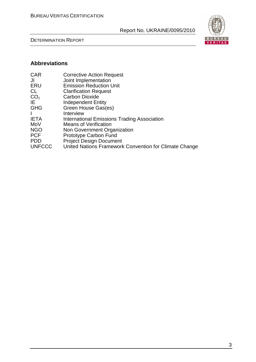DETERMINATION REPORT



# **Abbreviations**

| <b>CAR</b>      | <b>Corrective Action Request</b>                       |
|-----------------|--------------------------------------------------------|
| JI              | Joint Implementation                                   |
| ERU             | <b>Emission Reduction Unit</b>                         |
| CL              | <b>Clarification Request</b>                           |
| CO <sub>2</sub> | <b>Carbon Dioxide</b>                                  |
| IE              | <b>Independent Entity</b>                              |
| <b>GHG</b>      | Green House Gas(es)                                    |
| $\mathbf{I}$    | Interview                                              |
| <b>IETA</b>     | <b>International Emissions Trading Association</b>     |
| MoV             | <b>Means of Verification</b>                           |
| <b>NGO</b>      | Non Government Organization                            |
| <b>PCF</b>      | Prototype Carbon Fund                                  |
| <b>PDD</b>      | <b>Project Design Document</b>                         |
| <b>UNFCCC</b>   | United Nations Framework Convention for Climate Change |
|                 |                                                        |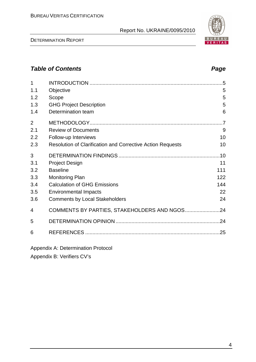# **Table of Contents Page 2014**

| 1              |                                                            | .5             |
|----------------|------------------------------------------------------------|----------------|
|                |                                                            |                |
| 1.1            | Objective                                                  | 5              |
| 1.2            | Scope                                                      | 5              |
| 1.3            | <b>GHG Project Description</b>                             | 5              |
| 1.4            | Determination team                                         | 6              |
| $\overline{2}$ |                                                            | $\overline{7}$ |
| 2.1            | <b>Review of Documents</b>                                 | 9              |
| 2.2            | Follow-up Interviews                                       | 10             |
| 2.3            | Resolution of Clarification and Corrective Action Requests | 10             |
| 3              |                                                            |                |
| 3.1            | <b>Project Design</b>                                      | 11             |
| 3.2            | <b>Baseline</b>                                            | 111            |
| 3.3            | <b>Monitoring Plan</b>                                     | 122            |
| 3.4            | <b>Calculation of GHG Emissions</b>                        | 144            |
| 3.5            | <b>Environmental Impacts</b>                               | 22             |
| 3.6            | <b>Comments by Local Stakeholders</b>                      | 24             |
| 4              |                                                            |                |
| 5              |                                                            |                |
| 6              |                                                            | .25            |
|                |                                                            |                |

Appendix A: Determination Protocol

Appendix B: Verifiers CV's

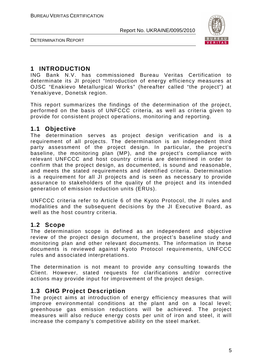

DETERMINATION REPORT

### **1 INTRODUCTION**

ING Bank N.V. has commissioned Bureau Veritas Certification to determinate its JI project "Introduction of energy efficiency measures at OJSC "Enakievo Metallurgical Works" (hereafter called "the project") at Yenakiyeve, Donetsk region.

This report summarizes the findings of the determination of the project, performed on the basis of UNFCCC criteria, as well as criteria given to provide for consistent project operations, monitoring and reporting.

### **1.1 Objective**

The determination serves as project design verification and is a requirement of all projects. The determination is an independent third party assessment of the project design. In particular, the project's baseline, the monitoring plan (MP), and the project's compliance with relevant UNFCCC and host country criteria are determined in order to confirm that the project design, as documented, is sound and reasonable, and meets the stated requirements and identified criteria. Determination is a requirement for all JI projects and is seen as necessary to provide assurance to stakeholders of the quality of the project and its intended generation of emission reduction units (ERUs).

UNFCCC criteria refer to Article 6 of the Kyoto Protocol, the JI rules and modalities and the subsequent decisions by the JI Executive Board, as well as the host country criteria.

### **1.2 Scope**

The determination scope is defined as an independent and objective review of the project design document, the project's baseline study and monitoring plan and other relevant documents. The information in these documents is reviewed against Kyoto Protocol requirements, UNFCCC rules and associated interpretations.

The determination is not meant to provide any consulting towards the Client. However, stated requests for clarifications and/or corrective actions may provide input for improvement of the project design.

### **1.3 GHG Project Description**

The project aims at introduction of energy efficiency measures that will improve environmental conditions at the plant and on a local level; greenhouse gas emission reductions will be achieved. The project measures will also reduce energy costs per unit of iron and steel, it will increase the company's competitive ability on the steel market.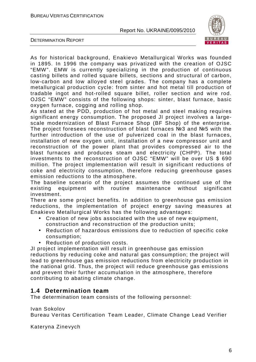

DETERMINATION REPORT

As for historical background, Enakievo Metallurgical Works was founded in 1895. In 1996 the company was privatized with the creation of OJSC "EMW". EMW is currently specializing in the production of continuous casting billets and rolled square billets, sections and structural of carbon, low-carbon and low alloyed steel grades. The company has a complete metallurgical production cycle: from sinter and hot metal till production of tradable ingot and hot-rolled square billet, roller section and wire rod. OJSC "EMW" consists of the following shops: sinter, blast furnace, basic oxygen furnace, cogging and rolling shop.

As stated at the PDD, production of hot metal and steel making requires significant energy consumption. The proposed JI project involves a largescale modernization of Blast Furnace Shop (BF Shop) of the enterprise. The project foresees reconstruction of blast furnaces №3 and №5 with the further introduction of the use of pulverized coal in the blast furnaces, installation of new oxygen unit, installation of a new compressor unit and reconstruction of the power plant that provides compressed air to the blast furnaces and produces steam and electricity (CHPP). The total investments to the reconstruction of OJSC "EMW" will be over US \$ 690 million. The project implementation will result in significant reductions of coke and electricity consumption, therefore reducing greenhouse gases emission reductions to the atmosphere.

The baseline scenario of the project assumes the continued use of the existing equipment with routine maintenance without significant investment.

There are some project benefits. In addition to greenhouse gas emission reductions, the implementation of project energy saving measures at Enakievo Metallurgical Works has the following advantages:

- Creation of new jobs associated with the use of new equipment, construction and reconstruction of the production units;
- Reduction of hazardous emissions due to reduction of specific coke consumption;
- Reduction of production costs.

JI project implementation will result in greenhouse gas emission reductions by reducing coke and natural gas consumption; the project will lead to greenhouse gas emission reductions from electricity production in the national grid. Thus, the project will reduce greenhouse gas emissions and prevent their further accumulation in the atmosphere, therefore contributing to abating climate change.

### **1.4 Determination team**

The determination team consists of the following personnel:

Ivan Sokolov

Bureau Veritas Certification Team Leader, Climate Change Lead Verifier

Kateryna Zinevych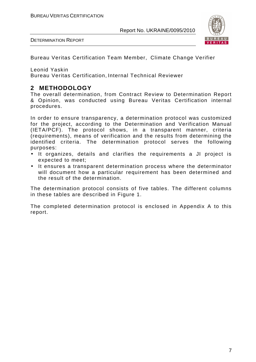

Bureau Veritas Certification Team Member, Climate Change Verifier

Leonid Yaskin

Bureau Veritas Certification, Internal Technical Reviewer

# **2 METHODOLOGY**

The overall determination, from Contract Review to Determination Report & Opinion, was conducted using Bureau Veritas Certification internal procedures.

In order to ensure transparency, a determination protocol was customized for the project, according to the Determination and Verification Manual (IETA/PCF). The protocol shows, in a transparent manner, criteria (requirements), means of verification and the results from determining the identified criteria. The determination protocol serves the following purposes:

- It organizes, details and clarifies the requirements a JI project is expected to meet;
- It ensures a transparent determination process where the determinator will document how a particular requirement has been determined and the result of the determination.

The determination protocol consists of five tables. The different columns in these tables are described in Figure 1.

The completed determination protocol is enclosed in Appendix A to this report.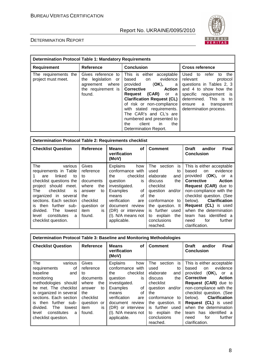

| <b>Determination Protocol Table 1: Mandatory Requirements</b> |                                                                                                   |                                                                                                                                                                                                                                                                                                                                                                 |                                                                                                                                                                                                                      |
|---------------------------------------------------------------|---------------------------------------------------------------------------------------------------|-----------------------------------------------------------------------------------------------------------------------------------------------------------------------------------------------------------------------------------------------------------------------------------------------------------------------------------------------------------------|----------------------------------------------------------------------------------------------------------------------------------------------------------------------------------------------------------------------|
| <b>Requirement</b>                                            | <b>Reference</b>                                                                                  | <b>Conclusion</b>                                                                                                                                                                                                                                                                                                                                               | <b>Cross reference</b>                                                                                                                                                                                               |
| The requirements the<br>project must meet.                    | Gives reference to<br>legislation<br>the<br>or<br>agreement where<br>the requirement is<br>found. | This is either acceptable<br>evidence<br>based on<br>provided<br>(OK),<br>a<br><b>Corrective</b><br><b>Action</b><br><b>(CAR)</b> or a<br>Request<br><b>Clarification Request (CL)</b><br>of risk or non-compliance<br>with stated requirements.<br>The CAR's and CL's are<br>numbered and presented to<br>client<br>in.<br>the<br>the<br>Determination Report. | Used to<br>refer<br>the<br>to<br>relevant<br>protocol<br>questions in Tables 2, 3<br>and 4 to show how the<br>specific requirement is<br>determined. This is to<br>ensure a<br>transparent<br>determination process. |

| <b>Determination Protocol Table 2: Requirements checklist</b>                                                                                                                                                                                                                                                    |                                                                                                                                   |                                                                                                                                                                                                                                           |                                                                                                                                                                                                        |                                                                                                                                                                                                                                                                                                                                          |
|------------------------------------------------------------------------------------------------------------------------------------------------------------------------------------------------------------------------------------------------------------------------------------------------------------------|-----------------------------------------------------------------------------------------------------------------------------------|-------------------------------------------------------------------------------------------------------------------------------------------------------------------------------------------------------------------------------------------|--------------------------------------------------------------------------------------------------------------------------------------------------------------------------------------------------------|------------------------------------------------------------------------------------------------------------------------------------------------------------------------------------------------------------------------------------------------------------------------------------------------------------------------------------------|
| <b>Checklist Question</b>                                                                                                                                                                                                                                                                                        | <b>Reference</b>                                                                                                                  | <b>Means</b><br><b>of</b><br>verification<br>(MoV)                                                                                                                                                                                        | <b>Comment</b>                                                                                                                                                                                         | <b>Final</b><br><b>Draft</b><br>and/or<br><b>Conclusion</b>                                                                                                                                                                                                                                                                              |
| <b>The</b><br>various<br>requirements in Table<br>linked<br>to<br>are<br>checklist questions the<br>project should meet.<br>The<br>checklist<br>is<br>organized in several<br>sections. Each section<br>further sub-<br>is then<br>divided.<br>The<br>lowest<br>constitutes<br>level<br>a<br>checklist question. | Gives<br>reference<br>to<br>documents<br>where<br>the<br>to<br>answer<br>the<br>checklist<br>question or<br>item<br>İS.<br>found. | <b>Explains</b><br>how<br>conformance with<br>checklist<br>the<br>question<br>is<br>investigated.<br>Examples<br>οf<br>οf<br>means<br>verification<br>are<br>document review<br>(DR) or interview<br>$(I)$ . N/A means not<br>applicable. | The section is<br>used<br>to<br>elaborate<br>and<br>the<br>discuss<br>checklist<br>question and/or<br>the<br>conformance to<br>the question. It<br>is further used<br>to explain<br>the<br>conclusions | This is either acceptable<br>evidence<br>based<br>on<br>provided (OK), or a<br><b>Corrective</b><br><b>Action</b><br>Request (CAR) due to<br>non-compliance with the<br>checklist question. (See<br>below). Clarification<br><b>Request (CL)</b> is used<br>when the determination<br>has identified a<br>team<br>for<br>further<br>need |
|                                                                                                                                                                                                                                                                                                                  |                                                                                                                                   |                                                                                                                                                                                                                                           | reached.                                                                                                                                                                                               | clarification.                                                                                                                                                                                                                                                                                                                           |

| Determination Protocol Table 3: Baseline and Monitoring Methodologies                                                                                                                                                                                                       |                                                                                                                                     |                                                                                                                                                                                                                         |                                                                                                                                                                                                   |                                                                                                                                                                                                                                                                                                                              |
|-----------------------------------------------------------------------------------------------------------------------------------------------------------------------------------------------------------------------------------------------------------------------------|-------------------------------------------------------------------------------------------------------------------------------------|-------------------------------------------------------------------------------------------------------------------------------------------------------------------------------------------------------------------------|---------------------------------------------------------------------------------------------------------------------------------------------------------------------------------------------------|------------------------------------------------------------------------------------------------------------------------------------------------------------------------------------------------------------------------------------------------------------------------------------------------------------------------------|
| <b>Checklist Question</b>                                                                                                                                                                                                                                                   | Reference                                                                                                                           | <b>Means</b><br><b>of</b><br>verification<br>(MoV)                                                                                                                                                                      | <b>Comment</b>                                                                                                                                                                                    | <b>Final</b><br><b>Draft</b><br>and/or<br><b>Conclusion</b>                                                                                                                                                                                                                                                                  |
| The<br>various<br>of<br>requirements<br>baseline<br>and<br>monitoring<br>methodologies should<br>be met. The checklist<br>is organized in several<br>sections. Each section<br>further sub-<br>then<br>is.<br>divided.<br><b>The</b><br>lowest<br>constitutes<br>level<br>a | Gives<br>reference<br>to<br>documents<br>the<br>where<br>answer<br>to<br>the<br>checklist<br>question<br>or<br>item<br>is<br>found. | <b>Explains</b><br>how<br>conformance with<br>checklist<br>the<br>question<br>is<br>investigated.<br>Examples<br>οf<br>Ωf<br>means<br>verification<br>are<br>document review<br>(DR) or interview<br>(I). N/A means not | The<br>section<br>is<br>used<br>to<br>elaborate<br>and<br>the<br>discuss<br>checklist<br>question and/or<br>the<br>conformance to<br>the question. It<br>further used<br>is.<br>to explain<br>the | This is either acceptable<br>evidence<br>based<br>on<br>(OK),<br>provided<br>or<br>- a<br>Corrective<br><b>Action</b><br>Request (CAR) due to<br>non-compliance with the<br>checklist question. (See<br><b>Clarification</b><br>below).<br><b>Request (CL)</b> is used<br>when the determination<br>has identified a<br>team |
| checklist question.                                                                                                                                                                                                                                                         |                                                                                                                                     | applicable.                                                                                                                                                                                                             | conclusions<br>reached.                                                                                                                                                                           | for<br>further<br>need<br>clarification.                                                                                                                                                                                                                                                                                     |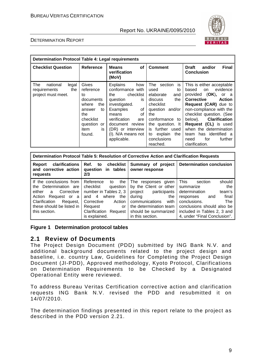

#### DETERMINATION REPORT

| <b>Determination Protocol Table 4: Legal requirements</b>             |                                                                                                                                     |                                                                                                                                                                                                                                        |                                                                                                                                                                                                                                |                                                                                                                                                                                                                                                                                                                                                                  |
|-----------------------------------------------------------------------|-------------------------------------------------------------------------------------------------------------------------------------|----------------------------------------------------------------------------------------------------------------------------------------------------------------------------------------------------------------------------------------|--------------------------------------------------------------------------------------------------------------------------------------------------------------------------------------------------------------------------------|------------------------------------------------------------------------------------------------------------------------------------------------------------------------------------------------------------------------------------------------------------------------------------------------------------------------------------------------------------------|
| <b>Checklist Question</b>                                             | Reference                                                                                                                           | <b>Means</b><br><b>of</b><br>verification<br>(MoV)                                                                                                                                                                                     | <b>Comment</b>                                                                                                                                                                                                                 | <b>Final</b><br><b>Draft</b><br>and/or<br><b>Conclusion</b>                                                                                                                                                                                                                                                                                                      |
| The<br>national<br>legal<br>the<br>requirements<br>project must meet. | Gives<br>reference<br>to<br>documents<br>where<br>the<br>to<br>answer<br>the<br>checklist<br>question<br>or<br>item<br>is<br>found. | <b>Explains</b><br>how<br>conformance with<br>checklist<br>the<br>is<br>question<br>investigated.<br>Examples<br>0f<br>οf<br>means<br>verification<br>are<br>document review<br>(DR) or interview<br>(I). N/A means not<br>applicable. | The<br>is<br>section<br>used<br>to<br>elaborate<br>and<br>the<br>discuss<br>checklist<br>question and/or<br>the<br>conformance<br>to<br>the question. It<br>is further used<br>explain<br>the<br>to<br>conclusions<br>reached. | This is either acceptable<br>evidence<br>based<br>on<br>provided (OK),<br>or a<br><b>Corrective</b><br><b>Action</b><br>Request (CAR) due to<br>non-compliance with the<br>checklist question. (See<br><b>Clarification</b><br>below).<br>Request (CL) is used<br>when the determination<br>has identified a<br>team<br>for<br>further<br>need<br>clarification. |

| Determination Protocol Table 5: Resolution of Corrective Action and Clarification Requests                                                                                   |                                                                                                                                                                                             |                                                                                                                                                                                              |                                                                                                                                                                                                                                  |
|------------------------------------------------------------------------------------------------------------------------------------------------------------------------------|---------------------------------------------------------------------------------------------------------------------------------------------------------------------------------------------|----------------------------------------------------------------------------------------------------------------------------------------------------------------------------------------------|----------------------------------------------------------------------------------------------------------------------------------------------------------------------------------------------------------------------------------|
| <b>clarifications</b><br>Report<br>and corrective action<br>requests                                                                                                         | Ref. to checklist<br>question in tables<br>2/3                                                                                                                                              | Summary of project<br>owner response                                                                                                                                                         | <b>Determination conclusion</b>                                                                                                                                                                                                  |
| If the conclusions from<br>the Determination are<br>either a<br>Corrective<br>Action Request or a<br>Clarification<br>Request,<br>these should be listed in<br>this section. | Reference<br>the<br>to<br>checklist<br>question<br>number in Tables 2, 3<br>where<br>and 4<br>the<br>Corrective<br>Action<br>Request<br>or<br><b>Clarification Request</b><br>is explained. | The<br>responses aiven<br>by the Client or other<br>project<br>participants<br>during<br>the<br>communications<br>with<br>the determination team<br>should be summarized<br>in this section. | This<br>should<br>section<br>the<br>summarize<br>determination<br>team's<br>final<br>responses<br>and<br>conclusions.<br><b>The</b><br>conclusions should also be<br>included in Tables 2, 3 and<br>4, under "Final Conclusion". |

#### **Figure 1 Determination protocol tables**

#### **2.1 Review of Documents**

The Project Design Document (PDD) submitted by ING Bank N.V. and additional background documents related to the project design and baseline, i.e. country Law, Guidelines for Completing the Project Design Document (JI-PDD), Approved methodology, Kyoto Protocol, Clarifications on Determination Requirements to be Checked by a Designated Operational Entity were reviewed.

To address Bureau Veritas Certification corrective action and clarification requests ING Bank N.V. revised the PDD and resubmitted it on 14/07/2010.

The determination findings presented in this report relate to the project as described in the PDD version 2.21.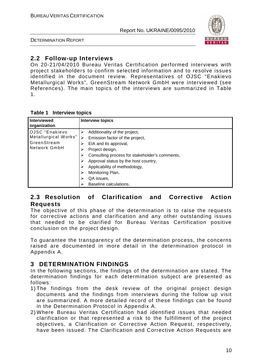

DETERMINATION REPORT

# **2.2 Follow-up Interviews**

On 20-21/04/2010 Bureau Veritas Certification performed interviews with project stakeholders to confirm selected information and to resolve issues identified in the document review. Representatives of OJSC "Enakievo Metallurgical Works", GreenStream Network GmbH were interviewed (see References). The main topics of the interviews are summarized in Table 1.

|  | Table 1 Interview topics |  |
|--|--------------------------|--|
|--|--------------------------|--|

| Interviewed<br>organization                                           | <b>Interview topics</b>                                                                                                                                                                                                                                                         |
|-----------------------------------------------------------------------|---------------------------------------------------------------------------------------------------------------------------------------------------------------------------------------------------------------------------------------------------------------------------------|
| OJSC "Enakievo<br>Metallurgical Works"<br>GreenStream<br>Network GmbH | Additionality of the project,<br>Emission factor of the project,<br>EIA and its approval,<br>Project design,<br>⋗<br>Consulting process for stakeholder's comments,<br>⋗<br>Approval status by the host country,<br>Applicability of methodology,<br>Monitoring Plan,<br>⋗<br>⋗ |
|                                                                       | QA issues,<br>Baseline calculations.                                                                                                                                                                                                                                            |

# **2.3 Resolution of Clarification and Corrective Action Requests**

The objective of this phase of the determination is to raise the requests for corrective actions and clarification and any other outstanding issues that needed to be clarified for Bureau Veritas Certification positive conclusion on the project design.

To guarantee the transparency of the determination process, the concerns raised are documented in more detail in the determination protocol in Appendix A.

# **3 DETERMINATION FINDINGS**

In the following sections, the findings of the determination are stated. The determination findings for each determination subject are presented as follows:

- 1) The findings from the desk review of the original project design documents and the findings from interviews during the follow up visit are summarized. A more detailed record of these findings can be found in the Determination Protocol in Appendix A.
- 2) Where Bureau Veritas Certification had identified issues that needed clarification or that represented a risk to the fulfillment of the project objectives, a Clarification or Corrective Action Request, respectively, have been issued. The Clarification and Corrective Action Requests are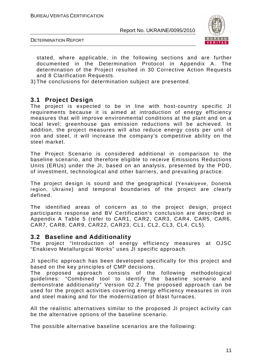

DETERMINATION REPORT

stated, where applicable, in the following sections and are further documented in the Determination Protocol in Appendix A. The determination of the Project resulted in 30 Corrective Action Requests and 8 Clarification Requests.

3) The conclusions for determination subject are presented.

#### **3.1 Project Design**

The project is expected to be in line with host-country specific JI requirements because it is aimed at introduction of energy efficiency measures that will improve environmental conditions at the plant and on a local level; greenhouse gas emission reductions will be achieved. In addition, the project measures will also reduce energy costs per unit of iron and steel, it will increase the company's competitive ability on the steel market.

The Project Scenario is considered additional in comparison to the baseline scenario, and therefore eligible to receive Emissions Reductions Units (ERUs) under the JI, based on an analysis, presented by the PDD, of investment, technological and other barriers, and prevailing practice.

The project design is sound and the geographical (Yenakiyeve, Donetsk region, Ukraine) and temporal boundaries of the project are clearly defined.

The identified areas of concern as to the project design, project participants response and BV Certification's conclusion are described in Appendix A Table 5 (refer to CAR1, CAR2, CAR3, CAR4, CAR5, CAR6, CAR7, CAR8, CAR9, CAR22, CAR23, CL1, CL2, CL3, CL4, CL5).

#### **3.2 Baseline and Additionality**

The project "Introduction of energy efficiency measures at OJSC "Enakievo Metallurgical Works" uses JI specific approach.

JI specific approach has been developed specifically for this project and based on the key principles of CMP decisions.

The proposed approach consists of the following methodological guidelines: "Combined tool to identify the baseline scenario and demonstrate additionality" Version 02.2. The proposed approach can be used for the project activities covering energy efficiency measures in iron and steel making and for the modernization of blast furnaces.

All the realistic alternatives similar to the proposed JI project activity can be the alternative options of the baseline scenario.

The possible alternative baseline scenarios are the following: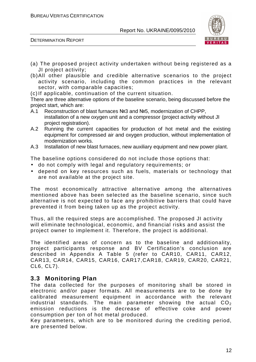

DETERMINATION REPORT

- (a) The proposed project activity undertaken without being registered as a JI project activity;
- (b) All other plausible and credible alternative scenarios to the project activity scenario, including the common practices in the relevant sector, with comparable capacities;
- (c) If applicable, continuation of the current situation.

There are three alternative options of the baseline scenario, being discussed before the project start, which are:

- A.1 Reconstruction of blast furnaces №3 and №5, modernization of CHPP, installation of a new oxygen unit and a compressor (project activity without JI project registration).
- A.2 Running the current capacities for production of hot metal and the existing equipment for compressed air and oxygen production, without implementation of modernization works.
- A.3 Installation of new blast furnaces, new auxiliary equipment and new power plant.

The baseline options considered do not include those options that:

- do not comply with legal and regulatory requirements; or
- depend on key resources such as fuels, materials or technology that are not available at the project site.

The most economically attractive alternative among the alternatives mentioned above has been selected as the baseline scenario, since such alternative is not expected to face any prohibitive barriers that could have prevented it from being taken up as the project activity.

Thus, all the required steps are accomplished. The proposed JI activity will eliminate technological, economic, and financial risks and assist the project owner to implement it. Therefore, the project is additional.

The identified areas of concern as to the baseline and additionality, project participants response and BV Certification's conclusion are described in Appendix A Table 5 (refer to CAR10, CAR11, CAR12, CAR13, CAR14, CAR15, CAR16, CAR17,CAR18, CAR19, CAR20, CAR21, CL6, CL7).

### **3.3 Monitoring Plan**

The data collected for the purposes of monitoring shall be stored in electronic and/or paper formats. All measurements are to be done by calibrated measurement equipment in accordance with the relevant industrial standards. The main parameter showing the actual  $CO<sub>2</sub>$ emission reductions is the decrease of effective coke and power consumption per ton of hot metal produced.

Key parameters, which are to be monitored during the crediting period, are presented below.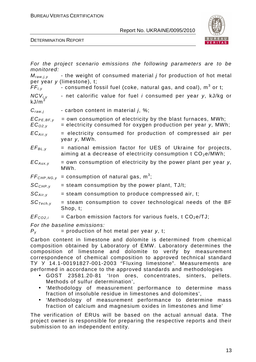BUREAU VERITAS CERTIFICATION

Report No. UKRAINE/0095/2010



DETERMINATION REPORT

| monitored:                                                                                                                                   | For the project scenario emissions the following parameters are to be                                                                                                              |  |  |  |
|----------------------------------------------------------------------------------------------------------------------------------------------|------------------------------------------------------------------------------------------------------------------------------------------------------------------------------------|--|--|--|
| $M_{raw, j, y}$<br>$FF_{i,v}$                                                                                                                | - the weight of consumed material <i>j</i> for production of hot metal<br>per year y (limestone), t;<br>- consumed fossil fuel (coke, natural gas, and coal), m <sup>3</sup> or t; |  |  |  |
| $NCV_{i,y}$<br>kJ/m <sup>3</sup>                                                                                                             | - net calorific value for fuel <i>i</i> consumed per year y, kJ/kg or                                                                                                              |  |  |  |
| $C_{raw,j}$                                                                                                                                  | - carbon content in material <i>i</i> , %;                                                                                                                                         |  |  |  |
| $EC_{PE,BF,y}$<br>$EC_{O2,V}$                                                                                                                | = own consumption of electricity by the blast furnaces, MWh;<br>= electricity consumed for oxygen production per year y, MWh;                                                      |  |  |  |
| $EC_{Air,y}$                                                                                                                                 | = electricity consumed for production of compressed air per<br>year y, MWh.                                                                                                        |  |  |  |
| $EF_{BL, y}$                                                                                                                                 | = national emission factor for UES of Ukraine for projects,<br>aiming at a decrease of electricity consumption t $CO2e/MWh$ ;                                                      |  |  |  |
| $EC_{Aux,y}$                                                                                                                                 | $=$ own consumption of electricity by the power plant per year y,<br>MWh.                                                                                                          |  |  |  |
| $FF_{CHP,NG, V}$                                                                                                                             | = consumption of natural gas, $m^3$ ;                                                                                                                                              |  |  |  |
| $SC_{CHP,Y}$                                                                                                                                 | $=$ steam consumption by the power plant, TJ/t;                                                                                                                                    |  |  |  |
| $SC_{Air, y}$                                                                                                                                | = steam consumption to produce compressed air, t;                                                                                                                                  |  |  |  |
| $SC_{Techn, y}$                                                                                                                              | = steam consumption to cover technological needs of the BF<br>Shop, t;                                                                                                             |  |  |  |
| EF <sub>CO2,i</sub>                                                                                                                          | = Carbon emission factors for various fuels, t $CO2e/TJ$ ;                                                                                                                         |  |  |  |
| $P_{V}$                                                                                                                                      | For the baseline emissions:<br>$=$ production of hot metal per year y, t;                                                                                                          |  |  |  |
| Carbon content in limestone and dolomite is determined from chemical<br>composition obtained by Laboratory of EMW. Laboratory determines the |                                                                                                                                                                                    |  |  |  |

composition obtained by Laboratory of EMW. Laboratory determines the composition of limestone and dolomite to verify by measurement correspondence of chemical composition to approved technical standard ТУ У 14.1-00191827-001-2003 "Fluxing limestone". Measurements are performed in accordance to the approved standards and methodologies

- GOST 23581.20-81 'Iron ores, concentrates, sinters, pellets. Methods of sulfur determination',
- 'Methodology of measurement performance to determine mass fraction of insoluble residue in limestones and dolomites',
- 'Methodology of measurement performance to determine mass fraction of calcium and magnesium oxides in limestones and lime'

The verification of ERUs will be based on the actual annual data. The project owner is responsible for preparing the respective reports and their submission to an independent entity.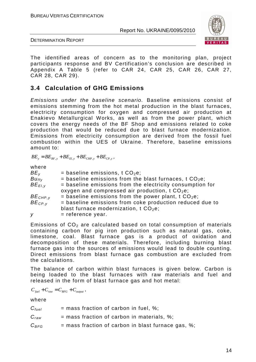

DETERMINATION REPORT

The identified areas of concern as to the monitoring plan, project participants response and BV Certification's conclusion are described in Appendix A Table 5 (refer to CAR 24, CAR 25, CAR 26, CAR 27, CAR 28, CAR 29).

# **3.4 Calculation of GHG Emissions**

Emissions under the baseline scenario. Baseline emissions consist of emissions stemming from the hot metal production in the blast furnaces, electricity consumption for oxygen and compressed air production at Enakievo Metallurgical Works, as well as from the power plant, which covers the energy needs of the BF Shop and emissions related to coke production that would be reduced due to blast furnace modernization. Emissions from electricity consumption are derived from the fossil fuel combustion within the UES of Ukraine. Therefore, baseline emissions amount to:

 $BE_y = BE_{BF,y} + BE_{El,y} + BE_{CHP,y} + BE_{CP,y}$ ,

 $m \approx 1$ 

| wnere                      |                                                           |
|----------------------------|-----------------------------------------------------------|
| BE <sub>v</sub>            | = baseline emissions, t $CO2e$ ;                          |
| $B$ <i>u</i> <sub>ff</sub> | = baseline emissions from the blast furnaces, t $CO2e$ ;  |
| $BE_{EI,V}$                | = baseline emissions from the electricity consumption for |
|                            | oxygen and compressed air production, $t CO2e$ ;          |
| $BE_{CHP,Y}$               | = baseline emissions from the power plant, t $CO2e$ ;     |
| $BE_{CP, V}$               | = baseline emissions from coke production reduced due to  |
|                            | blast furnace modernization, $t CO2e$ ;                   |
| y                          | $=$ reference year.                                       |
|                            |                                                           |

Emissions of  $CO<sub>2</sub>$  are calculated based on total consumption of materials containing carbon for pig iron production such as natural gas, coke, limestone, coal. Blast furnace gas is a product of oxidation and decomposition of these materials. Therefore, including burning blast furnace gas into the sources of emissions would lead to double counting. Direct emissions from blast furnace gas combustion are excluded from the calculations.

The balance of carbon within blast furnaces is given below. Carbon is being loaded to the blast furnaces with raw materials and fuel and released in the form of blast furnace gas and hot metal:

 $C_{\text{free}} + C_{\text{row}} = C_{\text{REG}} + C_{\text{output}}$ 

where

| $C_{fuel}$ | $=$ mass fraction of carbon in fuel, %;              |
|------------|------------------------------------------------------|
| $C_{raw}$  | $=$ mass fraction of carbon in materials, %;         |
| $C_{BFG}$  | $=$ mass fraction of carbon in blast furnace gas, %; |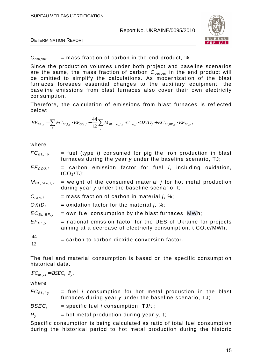

DETERMINATION REPORT

 $C_{\text{output}}$  = mass fraction of carbon in the end product, %.

Since the production volumes under both project and baseline scenarios are the same, the mass fraction of carbon  $C_{output}$  in the end product will be omitted to simplify the calculations. As modernization of the blast furnaces foresees essential changes to the auxiliary equipment, the baseline emissions from blast furnaces also cover their own electricity consumption.

Therefore, the calculation of emissions from blast furnaces is reflected below:

$$
BE_{BF,y} = \sum_{i} FC_{BL,i,y} \cdot EF_{CO_{2},i} + \frac{44}{12} \sum_{j} M_{BL,raw,j,y} \cdot C_{raw,j} \cdot OXID_{j} + EC_{BL,BF,y} \cdot EF_{BL,y},
$$

#### where

| $FC_{BL,i,y}$    | $=$ fuel (type i) consumed for pig the iron production in blast<br>furnaces during the year y under the baseline scenario, TJ;    |  |  |  |  |  |
|------------------|-----------------------------------------------------------------------------------------------------------------------------------|--|--|--|--|--|
| $EF_{CO2,i}$     | $=$ carbon emission factor for fuel <i>i</i> , including oxidation,<br>$tCO2/TJ$ ;                                                |  |  |  |  |  |
| $M_{BL,raw,j,y}$ | $=$ weight of the consumed material <i>j</i> for hot metal production<br>during year y under the baseline scenario, t;            |  |  |  |  |  |
| $C_{raw,j}$      | $=$ mass fraction of carbon in material <i>j</i> , %;                                                                             |  |  |  |  |  |
| $OXID_i$         | = oxidation factor for the material $i$ , %;                                                                                      |  |  |  |  |  |
| $EC_{BL,BF,y}$   | = own fuel consumption by the blast furnaces, MWh;                                                                                |  |  |  |  |  |
| $EF_{BL,y}$      | = national emission factor for the UES of Ukraine for projects<br>aiming at a decrease of electricity consumption, $t CO2e/MWh$ ; |  |  |  |  |  |
| $\frac{44}{12}$  | $=$ carbon to carbon dioxide conversion factor.                                                                                   |  |  |  |  |  |

The fuel and material consumption is based on the specific consumption historical data.

 $FC_{BL, y i} = BSEC_i \cdot P_y$ ,

where

| $FC_{BL,i,y}$ |  |  | $=$ fuel <i>i</i> consumption for hot metal production in the blast |  |  |  |  |
|---------------|--|--|---------------------------------------------------------------------|--|--|--|--|
|               |  |  | furnaces during year y under the baseline scenario, TJ;             |  |  |  |  |

 $BSEC<sub>i</sub>$  = specific fuel *i* consumption, TJ/t;

 $P_v$  = hot metal production during year *y*, t;

Specific consumption is being calculated as ratio of total fuel consumption during the historical period to hot metal production during the historic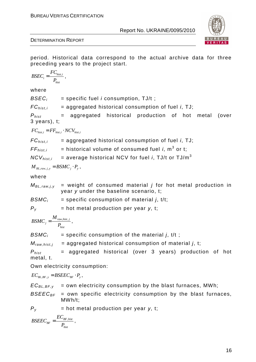

period. Historical data correspond to the actual archive data for three preceding years to the project start.

$$
BSEC_{i} = \frac{FC_{hist,i}}{P_{hist}} ,
$$

where

 $BSEC<sub>i</sub>$  = specific fuel *i* consumption, TJ/t;

 $FC_{histi}$  = aggregated historical consumption of fuel *i*, TJ;

 $P_{hist}$  = aggregated historical production of hot metal (over 3 years), t;

 $FC_{hist.i} = FF_{hist.i} \cdot NCV_{hist.i}$ 

 $FC_{hist,i}$  = aggregated historical consumption of fuel *i*, TJ;

 $FF_{hist,i}$  = historical volume of consumed fuel *i*, m<sup>3</sup> or t;

 $NCV_{histi}$  = average historical NCV for fuel *i*. TJ/t or TJ/m<sup>3</sup>

$$
M_{BL,raw,j,y} = BSMC_j \cdot P_y,
$$

where

 $M_{BL,raw,i,v}$  = weight of consumed material *j* for hot metal production in year y under the baseline scenario, t;

 $BSMC_i$  = specific consumption of material *i*, t/t;

 $P_v$  = hot metal production per year *y*, t;

*raw hist j* , , *j hist M BSMC P*  $=\frac{1}{\sqrt{2\pi}}$  raw, hist, j

 $BSMC_i$  = specific consumption of the material *i*, t/t;

 $M_{raw, hist, i}$  = aggregated historical consumption of material j, t;

 $P_{hist}$  = aggregated historical (over 3 years) production of hot metal, t.

Own electricity consumption:

$$
EC_{BL,BF,y} = BSEEC_{BF} \cdot P_y,
$$

 $EC_{BL,BF,y}$  = own electricity consumption by the blast furnaces, MWh;

 $BSEE_{BF}$  = own specific electricity consumption by the blast furnaces, MWh/t;

 $P_v$  = hot metal production per year *y*, t;

$$
BSEEC_{BF} = \frac{EC_{BF,hist}}{P_{hist}}\,,
$$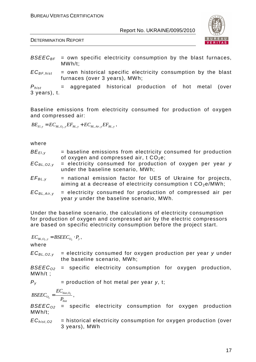

DETERMINATION REPORT

- $BSEE_{BF}$  = own specific electricity consumption by the blast furnaces, MWh/t;
- $EC_{BF,hist}$  = own historical specific electricity consumption by the blast furnaces (over 3 years), MWh;

 $P_{hist}$  = aggregated historical production of hot metal (over 3 years), t.

Baseline emissions from electricity consumed for production of oxygen and compressed air:

 $BE_{El, y} = EC_{BL, O_2, y} EF_{BL, y} + EC_{BL, Air, y} EF_{BL, y}$  ,

#### where

| $BE_{EI,V}$<br>$EC_{BL, O2, V}$ | = baseline emissions from electricity consumed for production<br>of oxygen and compressed air, $t CO2e$ ;<br>$=$ electricity consumed for production of oxygen per year $y$<br>under the baseline scenario, MWh; |
|---------------------------------|------------------------------------------------------------------------------------------------------------------------------------------------------------------------------------------------------------------|
| $EF_{BL, y}$                    | = national emission factor for UES of Ukraine for projects,<br>aiming at a decrease of electricity consumption t $CO2e/MWh$ ;                                                                                    |
| $EC_{BL,Air,v}$                 | = electricity consumed for production of compressed air per<br>year y under the baseline scenario, MWh.                                                                                                          |

Under the baseline scenario, the calculations of electricity consumption for production of oxygen and compressed air by the electric compressors are based on specific electricity consumption before the project start.

$$
EC_{BL,O_2,y} = BSEEC_{O_2} \cdot P_y,
$$

where

 $EC_{BL.02. v}$  = electricity consumed for oxygen production per year y under the baseline scenario, MWh;

 $BSEEC_{02}$  = specific electricity consumption for oxygen production, MWh/t ;

 $P_v$  = production of hot metal per year *y*, t;

$$
BSEEC_{O_2} = \frac{EC_{hist, O_2}}{P_{hist}} ,
$$

 $BSEE_{02}$  = specific electricity consumption for oxygen production MWh/t;

 $EC<sub>hist.O2</sub>$  = historical electricity consumption for oxygen production (over 3 years), MWh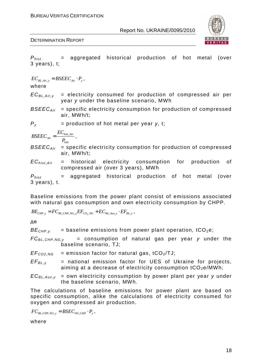

 $P_{hist}$  = aggregated historical production of hot metal (over 3 years), t;

| $EC_{BL,Air,y}$ = $BSEE_{Air} \cdot P_y$ ,                                                                                 |
|----------------------------------------------------------------------------------------------------------------------------|
| $EC_{BL,Air,y}$ = electricity consumed for production of compressed air per year <i>y</i> under the baseline scenario, MWh |
| $BSEE_{Air}$ = specific electricity consumption for production of compressed air, MWh/t;                                   |
| $P_y$ = production of hot metal per year <i>y</i> , t;                                                                     |
| $BSEE_{Air}$ = $\frac{EC_{hist,Air}}{P_{hist}}$ ,                                                                          |
| $BSEE_{Air}$ = specific electricity consumption for production of compressed air, MWh/t;                                   |
| $EC_{hist,Air}$ = historical electricity consumption for production of compressed air (over 3 years), MWh                  |
| $P_{hist}$ = aggregated historical production of hot metal (over 3 years), t.                                              |
| $Pascline$ energies                                                                                                        |

Baseline emissions from the power plant consist of emissions associated with natural gas consumption and own electricity consumption by CHPP.

$$
BE_{CHP,y} = FC_{BL,CHP,NG,y} EF_{CO_2,NG} + EC_{BL,Aux,y} \cdot EF_{BL,y} ,
$$

де

 $BE<sub>CHP.v</sub>$  = baseline emissions from power plant operation, tCO<sub>2</sub>e;

 $FC_{BL,CHP,NG,y}$  = consumption of natural gas per year y under the baseline scenario, TJ;

 $EF_{CO2,NG}$  = emission factor for natural gas, tCO<sub>2</sub>/TJ;

- $EF_{BLV}$  = national emission factor for UES of Ukraine for projects, aiming at a decrease of electricity consumption  $tCO_2e/MWh$ ;
- $EC_{BL,Aux,y}$  = own electricity consumption by power plant per year y under the baseline scenario, MWh.

The calculations of baseline emissions for power plant are based on specific consumption, alike the calculations of electricity consumed for oxygen and compressed air production.

$$
FC_{BL,CHP,NG,y} = BSEC_{NG,CHP} \cdot P_y,
$$

where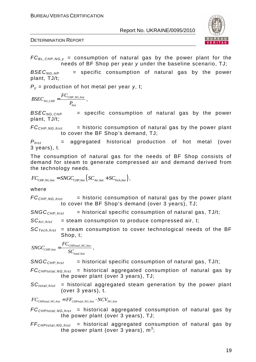

 $FC_{BL,CHP,NG,y}$  = consumption of natural gas by the power plant for the needs of BF Shop per year y under the baseline scenario, TJ;

 $BSEC_{NG, HP}$  = specific consumption of natural gas by the power plant, TJ/t;

Py = production of hot metal per year *у*, t;

$$
BSEC_{NG,CHP} = \frac{FC_{CHP,NG,hist}}{P_{hist}} ,
$$

 $BSEC<sub>NG.CHP</sub>$  = specific consumption of natural gas by the power plant, TJ/t;

 $FC<sub>CHP,NG, hist</sub>$  = historic consumption of natural gas by the power plant to cover the BF Shop's demand, TJ;

 $P_{hist}$  = aggregated historical production of hot metal (over 3 years), t.

The consumption of natural gas for the needs of BF Shop consists of demand for steam to generate compressed air and demand derived from the technology needs.

$$
FC_{CHP,NG, hist} = SNGC_{CHP, hist} \left( SC_{Air, hist} + SC_{Tech, hist} \right),
$$

where

 $FC<sub>CHP.NG.hist</sub>$  = historic consumption of natural gas by the power plant to cover the BF Shop's demand (over 3 years), TJ;

 $SNGC<sub>CHP,hist</sub>$  = historical specific consumption of natural gas, TJ/t;

 $SC_{Air\,hist}$  = steam consumption to produce compressed air, t;

 $SC_{Techn. hist}$  = steam consumption to cover technological needs of the BF Shop, t;

$$
SNGC_{CHP,hist} = \frac{FC_{CHPtotal,NG,hist}}{SC_{total,hist}} ,
$$

 $SNGC<sub>CHP hist</sub>$  = historical specific consumption of natural gas, TJ/t;

 $FC_{CHPtotal, NG, hist}$  = historical aggregated consumption of natural gas by the power plant (over 3 years), TJ;

 $SC<sub>total,hist</sub>$  = historical aggregated steam generation by the power plant (over 3 years), t.

$$
FC_{\text{CHPtotal},\text{NG},\text{hist}} = FF_{\text{CHPtotal},\text{NG},\text{hist}} \cdot \text{NCV}_{\text{NG},\text{hist}}
$$

 $FC_{CHPtotal, NG, hist}$  = historical aggregated consumption of natural gas by the power plant (over 3 years), TJ;

 $FF<sub>CHPtotal, NG, hist</sub>$  = historical aggregated consumption of natural gas by the power plant (over 3 years),  $m^3$ ;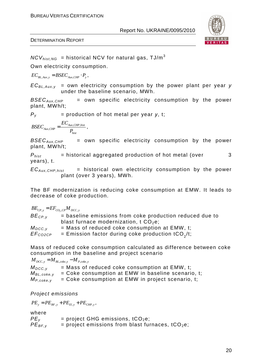

 $NCV_{hist,NG}$  = historical NCV for natural gas, TJ/m<sup>3</sup>

Own electricity consumption.

 $EC_{BL. Aux.y} = BSEC_{Aux.CHP} \cdot P_y$ ,

 $EC_{BL,Aux,y}$  = own electricity consumption by the power plant per year y under the baseline scenario, MWh.

 $BSEC_{Aux.CHP}$  = own specific electricity consumption by the power plant, MWh/t;

 $P_v$  = production of hot metal per year *y*, t;

$$
BSEC_{_{Aux,CHP}} = \frac{EC_{_{Aux,CHP,hist}}}{P_{hist}}\,,
$$

 $BSEC_{Aux.CHP}$  = own specific electricity consumption by the power plant, MWh/t;

 $P_{hist}$  = historical aggregated production of hot metal (over 3 years), t.

 $EC_{Aux,CHP,hist}$  = historical own electricity consumption by the power plant (over 3 years), MWh.

The BF modernization is reducing coke consumption at EMW. It leads to decrease of coke production.

 $BE_{CP,y} = EF_{CO_2,CP} M_{DCC,y}$  $BE<sub>CPV</sub>$  = baseline emissions from coke production reduced due to blast furnace modernization,  $t$  CO<sub>2</sub>e;  $M_{DCC,v}$  = Mass of reduced coke consumption at EMW, t;  $EF_{CO2CP}$  = Emission factor during coke production tCO<sub>2</sub>/t;

Mass of reduced coke consumption calculated as difference between coke consumption in the baseline and project scenario

 $M_{DCC, y} = M_{BL, coke, y} - M_{P, coke, y}$  $M_{DCC}$ <sub>y</sub> = Mass of reduced coke consumption at EMW, t;  $M_{BL, \text{coke},v}$  = Coke consumption at EMW in baseline scenario, t:  $M_{P, \text{coke}, y}$  = Coke consumption at EMW in project scenario, t;

#### Project emissions

 $PE_y = PE_{BF,y} + PE_{El,y} + PE_{CHP,y}$ ,

#### where

 $PE<sub>v</sub>$  = project GHG emissions, tCO<sub>2</sub>e;  $PE_{BF,v}$  = project emissions from blast furnaces, tCO<sub>2</sub>e;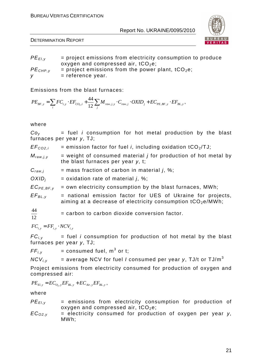

DETERMINATION REPORT

 $PE_{ELV}$  = project emissions from electricity consumption to produce oxygen and compressed air,  $tCO<sub>2</sub>e$ ;  $PE<sub>CHP.v</sub>$  = project emissions from the power plant, tCO<sub>2</sub>e;  $v =$  reference year.

Emissions from the blast furnaces:

$$
PE_{BF,y} = \sum_{i} FC_{i,y} \cdot EF_{CO_2,i} + \frac{44}{12} \sum_{j} M_{raw,j,y} \cdot C_{raw,j} \cdot OXID_j + EC_{PE,BF,y} \cdot EF_{BL,y},
$$

#### where

 $Co<sub>v</sub>$  = fuel *i* consumption for hot metal production by the blast furnaces per year *у*, TJ;

| EF <sub>CO2,i</sub> | = emission factor for fuel <i>i</i> , including oxidation tCO <sub>2</sub> /TJ; |  |  |  |  |  |
|---------------------|---------------------------------------------------------------------------------|--|--|--|--|--|
|---------------------|---------------------------------------------------------------------------------|--|--|--|--|--|

- $M_{raw,i,v}$  = weight of consumed material *j* for production of hot metal by the blast furnaces per year *у*, t;
- $C_{raw,i}$  = mass fraction of carbon in material j, %;
- $OXID_i$  = oxidation rate of material j, %;

 $EC_{PE,BF,y}$  = own electricity consumption by the blast furnaces, MWh;

 $EF_{BL, v}$  = national emission factor for UES of Ukraine for projects, aiming at a decrease of electricity consumption  $tCO_2e/MWh$ ;

 $\frac{44}{12}$  = carbon to carbon dioxide conversion factor.  $\frac{44}{12}$ 

 $FC_i = FF_i$  *i*  $\cdot$  *NCV<sub>i</sub> i*,

 $FC_{i,y}$  = fuel *i* consumption for production of hot metal by the blast furnaces per year *у*, TJ;

 $FF_{i,y}$  = consumed fuel, m<sup>3</sup> or t;

 $NCV_{i,v}$  = average NCV for fuel *I* consumed per year y, TJ/t or TJ/m<sup>3</sup>

Project emissions from electricity consumed for production of oxygen and compressed air:

 $PE_{El,y} = EC_{O_2,y} EF_{BL,y} + EC_{Air,y} EF_{BL,y}$ ,

where

 $PE_{EL, y}$  = emissions from electricity consumption for production of oxygen and compressed air,  $tCO<sub>2</sub>e$ ;

ECO2,y = electricity consumed for production of oxygen per year *у*, MWh;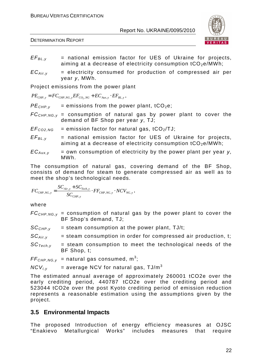



- $EF_{BL,v}$  = national emission factor for UES of Ukraine for projects, aiming at a decrease of electricity consumption  $tCO<sub>2</sub>e/MWh$ :
- $EC_{Air,v}$  = electricity consumed for production of compressed air per year *у*, MWh.

Project emissions from the power plant

$$
PE_{CHP,y} = FC_{CHP,NG,y} EF_{CO_2,NG} + EC_{Aux,y} \cdot EF_{BL,y},
$$

 $PE<sub>CHP,V</sub>$  = emissions from the power plant, tCO<sub>2</sub>e;

- $FC_{CHP,NG,y}$  = consumption of natural gas by power plant to cover the demand of BF Shop per year *у*, TJ;
- $EF_{CO2,NG}$  = emission factor for natural gas, tCO<sub>2</sub>/TJ;
- $EF_{BL,v}$  = national emission factor for UES of Ukraine for projects, aiming at a decrease of electricity consumption  $tCO_2e/MWh$ ;
- $EC_{Aux}$  = own consumption of electricity by the power plant per year *y*, MWh.

The consumption of natural gas, covering demand of the BF Shop, consists of demand for steam to generate compressed air as well as to meet the shop's technological needs.

$$
FC_{CHP,NG,y} = \frac{SC_{Air,y} + SC_{Tech,y}}{SC_{CHP,y}} \cdot FF_{CHP,NG,y} \cdot NCV_{NG,y},
$$

where

 $FC_{CHP,NG,y}$  = consumption of natural gas by the power plant to cover the BF Shop's demand, TJ;

 $SC<sub>CHP.v</sub>$  = steam consumption at the power plant, TJ/t;

 $SC_{Air,v}$  = steam consumption in order for compressed air production, t;

 $SC_{Techniv}$  = steam consumption to meet the technological needs of the BF Shop, t;

 $FF_{CHP,NG,y}$  = natural gas consumed, m<sup>3</sup>;

 $NCV_{i,v}$  = average NCV for natural gas, TJ/m<sup>3</sup>

The estimated annual average of approximately 260001 tCO2e over the early crediting period, 440787 tCO2e over the crediting period and 523044 tCO2e over the post Kyoto crediting period of emission reduction represents a reasonable estimation using the assumptions given by the project.

# **3.5 Environmental Impacts**

The proposed Introduction of energy efficiency measures at OJSC "Enakievo Metallurgical Works" includes measures that require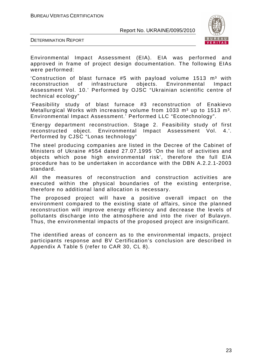BUREAU VERITAS CERTIFICATION

#### Report No. UKRAINE/0095/2010



DETERMINATION REPORT

Environmental Impact Assessment (EIA). EIA was performed and approved in frame of project design documentation. The following EIAs were performed:

'Construction of blast furnace  $#5$  with payload volume 1513 m<sup>3</sup> with reconstruction of infrastructure objects. Environmental Impact Assessment Vol. 10.' Performed by OJSC "Ukrainian scientific centre of technical ecology"

'Feasibility study of blast furnace #3 reconstruction of Enakievo Metallurgical Works with increasing volume from 1033  $m<sup>3</sup>$  up to 1513  $m<sup>3</sup>$ . Environmental Impact Assessment.' Performed LLC "Ecotechnology".

'Energy department reconstruction. Stage 2. Feasibility study of first reconstructed object. Environmental Impact Assessment Vol. 4.'. Performed by CJSC "Lonas technology"

The steel producing companies are listed in the Decree of the Cabinet of Ministers of Ukraine #554 dated 27.07.1995 'On the list of activities and objects which pose high environmental risk', therefore the full EIA procedure has to be undertaken in accordance with the DBN A.2.2.1-2003 standard.

All the measures of reconstruction and construction activities are executed within the physical boundaries of the existing enterprise, therefore no additional land allocation is necessary.

The proposed project will have a positive overall impact on the environment compared to the existing state of affairs, since the planned reconstruction will improve energy efficiency and decrease the levels of pollutants discharge into the atmosphere and into the river of Bulavyn. Thus, the environmental impacts of the proposed project are insignificant.

The identified areas of concern as to the environmental impacts, project participants response and BV Certification's conclusion are described in Appendix A Table 5 (refer to CAR 30, CL 8).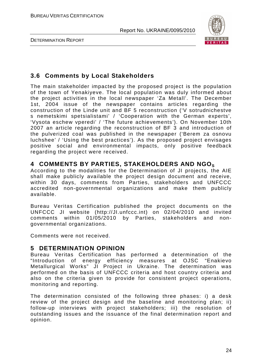



# **3.6 Comments by Local Stakeholders**

The main stakeholder impacted by the proposed project is the population of the town of Yenakiyeve. The local population was duly informed about the project activities in the local newspaper 'Za Metall'. The December 1st, 2004 issue of the newspaper contains articles regarding the construction of the Linde unit and BF 5 reconstruction ('V sotrudnichestve s nemetskimi spetsialistami' / 'Cooperation with the German experts', 'Vysota eschew vperedi' / 'The future achievements'). On November 10th 2007 an article regarding the reconstruction of BF 3 and introduction of the pulverized coal was published in the newspaper ('Berem za osnovu luchshee' / 'Using the best practices'). As the proposed project envisages positive social and environmental impacts, only positive feedback regarding the project were received.

# **4 COMMENTS BY PARTIES, STAKEHOLDERS AND NGO<sup>S</sup>**

According to the modalities for the Determination of JI projects, the AIE shall make publicly available the project design document and receive, within 30 days, comments from Parties, stakeholders and UNFCCC accredited non-governmental organizations and make them publicly available.

Bureau Veritas Certification published the project documents on the UNFCCC JI website (http://JI.unfccc.int) on 02/04/2010 and invited comments within 01/05/2010 by Parties, stakeholders and nongovernmental organizations.

Comments were not received.

# **5 DETERMINATION OPINION**

Bureau Veritas Certification has performed a determination of the "Introduction of energy efficiency measures at OJSC "Enakievo Metallurgical Works" JI Project in Ukraine. The determination was performed on the basis of UNFCCC criteria and host country criteria and also on the criteria given to provide for consistent project operations, monitoring and reporting.

The determination consisted of the following three phases: i) a desk review of the project design and the baseline and monitoring plan; ii) follow-up interviews with project stakeholders; iii) the resolution of outstanding issues and the issuance of the final determination report and opinion.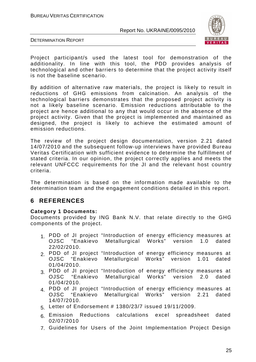

DETERMINATION REPORT

Project participant/s used the latest tool for demonstration of the additionality. In line with this tool, the PDD provides analysis of technological and other barriers to determine that the project activity itself is not the baseline scenario.

By addition of alternative raw materials, the project is likely to result in reductions of GHG emissions from calcination. An analysis of the technological barriers demonstrates that the proposed project activity is not a likely baseline scenario. Emission reductions attributable to the project are hence additional to any that would occur in the absence of the project activity. Given that the project is implemented and maintained as designed, the project is likely to achieve the estimated amount of emission reductions.

The review of the project design documentation, version 2.21 dated 14/07/2010 and the subsequent follow-up interviews have provided Bureau Veritas Certification with sufficient evidence to determine the fulfillment of stated criteria. In our opinion, the project correctly applies and meets the relevant UNFCCC requirements for the JI and the relevant host country criteria.

The determination is based on the information made available to the determination team and the engagement conditions detailed in this report.

# **6 REFERENCES**

#### **Category 1 Documents:**

Documents provided by ING Bank N.V. that relate directly to the GHG components of the project.

- 1. PDD of JI project "Introduction of energy efficiency measures at<br>OJSC "Enakievo Metallurgical Works" version 1.0 dated OJSC "Enakievo Metallurgical 22/02/2010.
- 2. PDD of JI project "Introduction of energy efficiency measures at<br>OJSC "Enakievo Metallurgical Works" version 1.01 dated OJSC "Enakievo Metallurgical Works" 01/04/2010.
- 3. PDD of JI project "Introduction of energy efficiency measures at OJSC "Enakievo Metallurgical Works" version 2.0 dated Metallurgical Works" 01/04/2010.
- 4. PDD of JI project "Introduction of energy efficiency measures at 0.1SC "Friakievo Metallurgical Works" version 2.21 dated OJSC "Enakievo Metallurgical Works" version 2.21 14/07/2010.
- 5. Letter of Endorsement # 1380/23/7 issued 19/11/2009.
- 6. Emission Reductions calculations excel spreadsheet dated 02/07/2010
- 7. Guidelines for Users of the Joint Implementation Project Design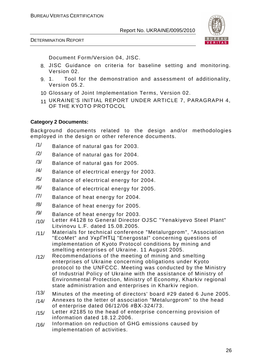

Document Form/Version 04, JISC.

- 8. JISC Guidance on criteria for baseline setting and monitoring. Version 02.
- 9. 1. Tool for the demonstration and assessment of additionality, Version 05.2.
- 10. Glossary of Joint Implementation Terms, Version 02.
- 11 UKRAINE'S INITIAL REPORT UNDER ARTICLE 7, PARAGRAPH 4, OF THE KYOTO PROTOCOL

#### **Category 2 Documents:**

Background documents related to the design and/or methodologies employed in the design or other reference documents.

- /1/ Balance of natural gas for 2003.
- /2/ Balance of natural gas for 2004.
- $/3/$  Balance of natural gas for 2005.
- $/4/$  Balance of elecrtrical energy for 2003.
- $/5/$  Balance of elecrtrical energy for 2004.
- /6/ Balance of elecrtrical energy for 2005.
- /7/ Balance of heat energy for 2004.
- $/8/$  Balance of heat energy for 2005.
- /9/ Balance of heat energy for 2003.
- /10/ Letter #4128 to General Director OJSC "Yenakiyevo Steel Plant" Litvinovu L.F. dated 15.08.2005.
- /11/ Materials for technical conference "Metalurgprom", "Association "EcoMet" and УкрГНТЦ "Energostal" concerning questions of implementation of Kyoto Protocol conditions by mining and smelting enterprises of Ukraine. 11 August 2005.
- /12/ Recommendations of the meeting of mining and smelting enterprises of Ukraine concerning obligations under Kyoto protocol to the UNFCCC. Meeting was conducted by the Ministry of Industrial Policy of Ukraine with the assistance of Ministry of Environmental Protection, Ministry of Economy, Kharkiv regional state administration and enterprises in Kharkiv region.
- /13/ Minutes of the meeting of directors' board #29 dated 6 June 2005.
- $/14/$  Annexes to the letter of association "Metalurgprom" to the head of enterprise dated 06/12/06 #ВХ-324/73.
- /15/ Letter #2185 to the head of enterprise concerning provision of information dated 18.12.2006.
- /16/ Information on reduction of GHG emissions caused by implementation of activities.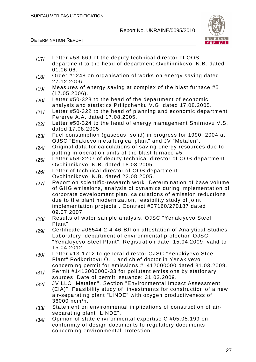

DETERMINATION REPORT

|      | department to the head of department Ovchinnikovoi N.B. dated<br>01.06.06.                                                         |
|------|------------------------------------------------------------------------------------------------------------------------------------|
| /18/ | Order #1248 on organisation of works on energy saving dated                                                                        |
| /19/ | 27.12.2006.<br>Measures of energy saving at complex of the blast furnace #5                                                        |
| /20/ | (17.05.2006).<br>Letter #50-323 to the head of the department of economic                                                          |
|      | analysis and statistics Prilipchenku V.G. dated 17.08.2005.                                                                        |
| /21/ | Letter #50-322 to the head of planning and economic department<br>Pererve A.A. dated 17.08.2005.                                   |
| /22/ | Letter #50-324 to the head of energy management Smirnovu V.S.<br>dated 17.08.2005.                                                 |
| /23/ | Fuel consumption (gaseous, solid) in progress for 1990, 2004 at                                                                    |
| /24/ | OJSC "Enakievo metallurgical plant" and JV "Metalen".<br>Original data for calculations of saving energy resources due to          |
|      | putting in operation units of the blast furnace #5.                                                                                |
| /25/ | Letter #58-2207 of deputy technical director of OOS department<br>Ovchinnikovoi N.B. dated 18.08.2005.                             |
| /26/ | Letter of technical director of OOS department                                                                                     |
|      | Ovchinnikovoi N.B. dated 22.08.2005.                                                                                               |
| /27/ | Report on scientific-research work "Determination of base volume                                                                   |
|      | of GHG emissions, analysis of dynamics during implementation of<br>corporate development plan, calculations of emission reductions |
|      | due to the plant modernization, feasibility study of joint                                                                         |
|      | implementation projects". Contract #27160/270187 dated                                                                             |
|      | 09.07.2007.                                                                                                                        |
| /28/ | Results of water sample analysis. OJSC "Yenakiyevo Steel                                                                           |
|      | Plant".                                                                                                                            |
| /29/ | Certificate #06544-2-4-46-ВЛ on attestation of Analytical Studies                                                                  |
|      | Laboratory, department of environmental protection OJSC                                                                            |
|      | "Yenakiyevo Steel Plant". Registration date: 15.04.2009, valid to<br>15.04.2012.                                                   |
|      | Letter #13-1712 to general director OJSC "Yenakiyevo Steel                                                                         |
| /30/ | Plant" Podkoritovu O.L. and chief doctor in Yenakiyevo                                                                             |
|      | concerning permit for emissions #1412000000 dated 31.03.2009.                                                                      |
| /31/ | Permit #1412000000-33 for pollutant emissions by stationary                                                                        |
|      | sources. Date of permit issuance: 31.03.2009.                                                                                      |
| /32/ | JV LLC "Metalen". Section "Environmental Impact Assessment                                                                         |
|      | (EIA)". Feasibility study of investments for construction of a new                                                                 |
|      | air-separating plant "LINDE" with oxygen productiveness of                                                                         |
|      | 36000 ncm/h.                                                                                                                       |
| /33/ | Statement on environmental implications of construction of air-<br>separating plant "LINDE".                                       |
| /34/ | Opinion of state environmental expertise C #05.05.199 on                                                                           |
|      | conformity of design documents to regulatory documents                                                                             |
|      | concerning environmental protection.                                                                                               |

/17/ Letter #58-669 of the deputy technical director of OOS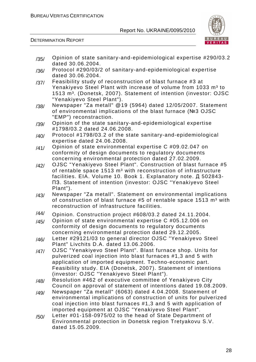

| /35/ | Opinion of state sanitary-and-epidemiological expertise #290/03.2<br>dated 30.06.2004.                                                                                                                                                                                                                                                                        |
|------|---------------------------------------------------------------------------------------------------------------------------------------------------------------------------------------------------------------------------------------------------------------------------------------------------------------------------------------------------------------|
| /36/ | Protocol #290/03/2 of sanitary-and-epidemiological expertise<br>dated 30.06.2004.                                                                                                                                                                                                                                                                             |
| /37/ | Feasibility study of reconstruction of blast furnace #3 at<br>Yenakiyevo Steel Plant with increase of volume from 1033 m <sup>3</sup> to<br>1513 m <sup>3</sup> . (Donetsk, 2007). Statement of intention (investor: OJSC                                                                                                                                     |
| /38/ | "Yenakiyevo Steel Plant").<br>Newspaper "Za metall" @19 (5964) dated 12/05/2007. Statement<br>of environmental implications of the blast furnace (№3 OJSC<br>"EMP") reconstraction.                                                                                                                                                                           |
| /39/ | Opinion of the state sanitary-and-epidemiological expertise<br>#1798/03.2 dated 24.06.2008.                                                                                                                                                                                                                                                                   |
| /40/ | Protocol #1798/03.2 of the state sanitary-and-epidemiological<br>expertise dated 24.06.2008.                                                                                                                                                                                                                                                                  |
| /41/ | Opinion of state environmental expertise C #09.02.047 on<br>conformity of design documents to regulatory documents                                                                                                                                                                                                                                            |
| /42/ | concerning environmental protection dated 27.02.2009.<br>OJSC "Yenakiyevo Steel Plant". Construction of blast furnace #5<br>of rentable space 1513 m <sup>3</sup> with reconstruction of infrastructure<br>facilities. EIA. Volume 10. Book 1. Explanatory note. Д 502843-<br><b>N3. Statement of intention (investor: OJSC "Yenakiyevo Steel</b><br>Plant"). |
| /43/ | Newspaper "Za metall". Statement on environmental implications<br>of construction of blast furnace #5 of rentable space 1513 m <sup>3</sup> with<br>reconstruction of infrastructure facilities.                                                                                                                                                              |
| /44/ | Opinion. Construction project #608/03.2 dated 24.11.2004.                                                                                                                                                                                                                                                                                                     |
| /45/ | Opinion of state environmental expertise C #05.12.006 on<br>conformity of design documents to regulatory documents<br>concerning environmental protection dated 29.12.2005.                                                                                                                                                                                   |
| /46/ | Letter #29121/03 to general director OJSC "Yenakiyevo Steel<br>Plant" Livchits D.A. dated 13.06.2006.                                                                                                                                                                                                                                                         |
| /47/ | OJSC "Yenakiyevo Steel Plant". Blast furnace shop. Units for<br>pulverized coal injection into blast furnaces #1,3 and 5 with<br>application of imported equipment. Techno-economic part.<br>Feasibility study. EIA (Donetsk, 2007). Statement of intentions<br>(investor: OJSC "Yenakiyevo Steel Plant").                                                    |
| /48/ | Resolution #462 of executive committee of Yenakiyevo City<br>Council on approval of statement of intentions dated 19.08.2009.                                                                                                                                                                                                                                 |
| /49/ | Newspaper "Za metall" (6063) dated 4.04.2008. Statement of<br>environmental implications of construction of units for pulverized<br>coal injection into blast furnaces #1,3 and 5 with application of<br>imported equipment at OJSC "Yenakiyevo Steel Plant".                                                                                                 |
| /50/ | Letter #01-158-0975/02 to the head of State Department of<br>Environmental protection in Donetsk region Tretyakovu S.V.<br>dated 15.05.2009.                                                                                                                                                                                                                  |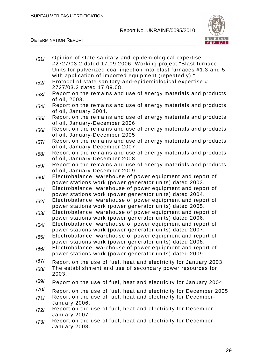

| /51/ | Opinion of state sanitary-and-epidemiological expertise                                                                            |
|------|------------------------------------------------------------------------------------------------------------------------------------|
|      | #2727/03.2 dated 17.09.2006. Working project "Blast furnace.<br>Units for pulverized coal injection into blast furnaces #1,3 and 5 |
|      | with application of imported equipment (repeatedly)."                                                                              |
|      |                                                                                                                                    |
| /52/ | Protocol of state sanitary-and-epidemiological expertise #                                                                         |
|      | 2727/03.2 dated 17.09.08.                                                                                                          |
| /53/ | Report on the remains and use of energy materials and products                                                                     |
|      | of oil, 2003.                                                                                                                      |
| /54/ | Report on the remains and use of energy materials and products                                                                     |
|      | of oil, January 2004.                                                                                                              |
| /55/ | Report on the remains and use of energy materials and products                                                                     |
|      | of oil, January-December 2006.                                                                                                     |
| /56/ | Report on the remains and use of energy materials and products                                                                     |
|      | of oil, January-December 2005.                                                                                                     |
| /57/ | Report on the remains and use of energy materials and products                                                                     |
|      | of oil, January-December 2007.                                                                                                     |
| /58/ | Report on the remains and use of energy materials and products                                                                     |
|      | of oil, January-December 2008.                                                                                                     |
| /59/ | Report on the remains and use of energy materials and products                                                                     |
|      | of oil, January-December 2009.                                                                                                     |
| /60/ | Electrobalance, warehouse of power equipment and report of                                                                         |
|      | power stations work (power generator units) dated 2003.                                                                            |
| /61/ | Electrobalance, warehouse of power equipment and report of                                                                         |
|      | power stations work (power generator units) dated 2004.<br>Electrobalance, warehouse of power equipment and report of              |
| /62/ | power stations work (power generator units) dated 2005.                                                                            |
|      | Electrobalance, warehouse of power equipment and report of                                                                         |
| /63/ | power stations work (power generator units) dated 2006.                                                                            |
|      | Electrobalance, warehouse of power equipment and report of                                                                         |
| /64/ | power stations work (power generator units) dated 2007.                                                                            |
|      | Electrobalance, warehouse of power equipment and report of                                                                         |
| /65/ | power stations work (power generator units) dated 2008.                                                                            |
|      | Electrobalance, warehouse of power equipment and report of                                                                         |
| /66/ | power stations work (power generator units) dated 2009.                                                                            |
| /67/ |                                                                                                                                    |
|      | Report on the use of fuel, heat and electricity for January 2003.                                                                  |
| /68/ | The establishment and use of secondary power resources for<br>2003.                                                                |
| /69/ | Report on the use of fuel, heat and electricity for January 2004.                                                                  |
| /70/ | Report on the use of fuel, heat and electricity for December 2005.                                                                 |
| /71/ | Report on the use of fuel, heat and electricity for December-                                                                      |
|      | January 2006.                                                                                                                      |
| /72/ | Report on the use of fuel, heat and electricity for December-                                                                      |
|      | January 2007.                                                                                                                      |
| /73/ | Report on the use of fuel, heat and electricity for December-                                                                      |
|      | January 2008.                                                                                                                      |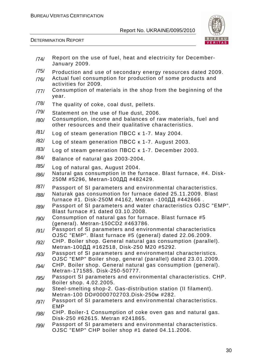

- $/74/$  Report on the use of fuel, heat and electricity for December-January 2009.
- /75/ Production and use of secondary energy resources dated 2009.
- /76/ Actual fuel consumption for production of some products and activities for 2009.
- /77/ Consumption of materials in the shop from the beginning of the year.
- 78/ The quality of coke, coal dust, pellets.
- /79/ Statement on the use of flue dust, 2006.
- $/80/$  Consumption, income and balances of raw materials, fuel and other resources and their qualitative characteristics.
- /81/ Log of steam generation ПВСС к 1-7. May 2004.
- /82/ Log of steam generation ПВСС к 1-7. August 2003.
- /83/ Log of steam generation ПВСС к 1-7. December 2003.
- /84/ Balance of natural gas 2003-2004.
- /85/ Log of natural gas, August 2004.
- /86/ Natural gas consumption in the furnace. Blast furnace, #4. Disk-250М #5296, Metran-100ДД #482429.
- /87/ Passport of SI parameters and environmental characteristics.
- /88/ Naturak gas consumotion for furnace dated 25.11.2009. Blast furnace #1. Disk-250М #4162, Metran -100ДД #442666 .
- /89/ Passport of SI parameters and water characteristics OJSC "EMP". Blast furnace #1 dated 03.10.2008.
- $/90/$  Consumption of natural gas for furnace. Blast furnace #5 (general). Metran-150CD2 #463786.
- /91/ Passport of SI parameters and environmental characteristics OJSC "EMP". Blast furnace #5 (general) dated 22.06.2009.
- /92/ CHP. Boiler shop. General natural gas consumption (parallel). Metran-100ДД #162518, Disk-250 М20 #5292.
- /93/ Passport of SI parameters and environmental characteristics. OJSC "EMP" Boiler shop, general (parallel) dated 23.01.2009.
- /94/ CHP. Boiler shop. General natural gas consumption (general). Metran-171585. Disk-250-50777.
- /95/ Passport SI parameters and environmental characteristics. CHP. Boiler shop. 4.02.2005.
- /96/ Steel-smelting shop-2. Gas-distribution station (II filament). Metran-100 DD#0000702703.Disk-250м #282.
- /97/ Passport of SI parameters and environmental characteristics. EMP
- /98/ CHP. Boiler-1 Consumption of coke oven gas and natural gas. Disk-250 #62615. Metran #241865.
- /99/ Passport of SI parameters and environmental characteristics. OJSC "EMP" CHP boiler shop #1 dated 04.11.2006.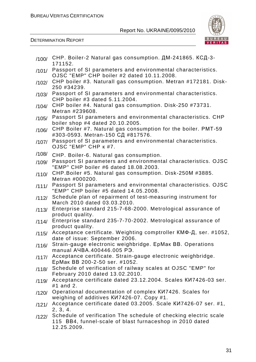

| /100/ | CHP. Boiler-2 Natural gas consumption. ДМ-241865. КСД-3-<br>171152.                                                                         |
|-------|---------------------------------------------------------------------------------------------------------------------------------------------|
| /101/ | Passport of SI parameters and environmental characteristics.<br>OJSC "EMP" CHP boiler #2 dated 10.11.2008.                                  |
| /102/ | CHP boiler #3. Naturall gas consumption. Metran #172181. Disk-<br>250 #34239.                                                               |
| /103/ | Passport of SI parameters and environmental characteristics.<br>CHP boiler #3 dated 5.11.2004.                                              |
| /104/ | CHP boiler #4. Natural gas consumption. Disk-250 #73731.<br>Metran #239608.                                                                 |
| /105/ | Passport SI parameters and environmental characteristics. CHP<br>boiler shop #4 dated 20.10.2005.                                           |
| /106/ | CHP Boiler #7. Natural gas consumption for the boiler. PMT-59<br>#303-0593. Metran-150 СД #817576.                                          |
| /107/ | Passport of SI parameters and environmental characteristics.<br>OJSC "EMP" CHP K #7.                                                        |
| /108/ | CHP. Boiler-6. Natural gas consumption.                                                                                                     |
| /109/ | Passport SI parameters and environmental characteristics. OJSC<br>"EMP" CHP boiler #6 dated 18.08.2003.                                     |
| /110/ | CHP.Boiler #5. Natural gas consumption. Disk-250M #3885.<br>Metran #000200.                                                                 |
| /111/ | Passport SI parameters and environmental characteristics. OJSC<br>"EMP" CHP boiler #5 dated 14.05.2008.                                     |
| /112/ | Schedule plan of repairment of test-measuring instrument for<br>March 2010 dated 03.03.2010.                                                |
| /113/ | Enterprise standard 215-7-68-2000. Metrological assurance of<br>product quality.                                                            |
| /114/ | Enterprise standard 235-7-70-2002. Metrological assurance of<br>product quality.                                                            |
| /115/ | Acceptance certificate. Weighting comptroller КМФ-Д, ser. #1052,<br>date of issue: September 2006.                                          |
| /116/ | Strain-gauge electronic weighbridge. EpMak BB. Operations<br>manual A4BA.400446.005 P3.                                                     |
| /117/ | Acceptance certificate. Strain-gauge electronic weighbridge.<br>ЕрМак ВВ 200-2-50 ser. #1052.                                               |
| /118/ | Schedule of verification of railway scales at OJSC "EMP" for<br>February 2010 dated 13.02.2010.                                             |
| /119/ | Acceptance certificate dated 23.12.2004. Scales KW7426-03 ser.<br>$#1$ and 2.                                                               |
| /120/ | Operational documentation of complex KW7426. Scales for<br>weighing of additives KW7426-07. Copy #1.                                        |
| /121/ | Acceptance certificate dated 03.2005. Scale KИ7426-07 ser. #1,<br>2, 3, 4.                                                                  |
| /122/ | Schedule of verification The schedule of checking electric scale<br>115 BB4, funnel-scale of blast furnaceshop in 2010 dated<br>12.25.2009. |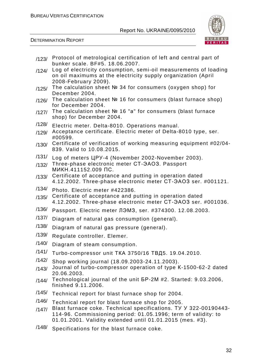

| /123/ | Protocol of metrological certification of left and central part of                                                                                                                              |
|-------|-------------------------------------------------------------------------------------------------------------------------------------------------------------------------------------------------|
| /124/ | bunker scale. BF#5. 18.06.2007.<br>Log of electricity consumption, semi-oil measurements of loading                                                                                             |
|       | on oil maximums at the electricity supply organization (April                                                                                                                                   |
|       | 2008-February 2009).<br>The calculation sheet № 34 for consumers (oxygen shop) for                                                                                                              |
| /125/ | December 2004.                                                                                                                                                                                  |
| /126/ | The calculation sheet $N2$ 16 for consumers (blast furnace shop)<br>for December 2004.                                                                                                          |
| /127/ | The calculation sheet № 16 "a" for consumers (blast furnace<br>shop) for December 2004.                                                                                                         |
| /128/ | Electric meter. Delta-8010. Operations manual.                                                                                                                                                  |
| /129/ | Acceptance certificate. Electric meter of Delta-8010 type, ser.<br>#00599.                                                                                                                      |
| /130/ | Certificate of verification of working measuring equipment #02/04-<br>839. Valid to 10.08.2015.                                                                                                 |
| /131/ | Log of meters UPY-4 (November 2002-November 2003).                                                                                                                                              |
| /132/ | Three-phase electronic meter CT-3A03. Passport<br>МИКН.411152.009 ПС.                                                                                                                           |
| /133/ | Certificate of acceptance and putting in operation dated<br>4.12.2002. Three-phase electronic meter CT-3AO3 ser. #001121.                                                                       |
| /134/ | Photo. Electric meter #422386.                                                                                                                                                                  |
| /135/ | Certificate of acceptance and putting in operation dated<br>4.12.2002. Three-phase electronic meter CT-3AO3 ser. #001036.                                                                       |
| /136/ | Passport. Electric meter ЛЭМЗ, ser. #374300. 12.08.2003.                                                                                                                                        |
| /137/ | Diagram of natural gas consumption (general).                                                                                                                                                   |
| /138/ | Diagram of natural gas pressure (general).                                                                                                                                                      |
| /139/ | Regulate controller. Elemer.                                                                                                                                                                    |
| /140/ | Diagram of steam consumption.                                                                                                                                                                   |
| /141/ | Turbo-compressor unit ТКА 3750/16 ТВД5. 19.04.2010.                                                                                                                                             |
| /142/ | Shop working journal (18.09.2003-24.11.2003).                                                                                                                                                   |
| /143/ | Journal of turbo-compressor operation of type K-1500-62-2 dated<br>20.06.2003.                                                                                                                  |
| /144/ | Technological journal of the unit 5P-2M #2. Started: 9.03.2006,<br>finished 9.11.2006.                                                                                                          |
| /145/ | Technical report for blast furnace shop for 2004.                                                                                                                                               |
| /146/ | Technical report for blast furnace shop for 2005.                                                                                                                                               |
| /147/ | Blast furnace coke. Technical specifications. TV Y 322-00190443-<br>114-96. Commissioning period: 01.05.1996; term of validity: to<br>01.01.2001. Validity extended until 01.01.2015 (mes. #3). |
| /148/ | Specifications for the blast furnace coke.                                                                                                                                                      |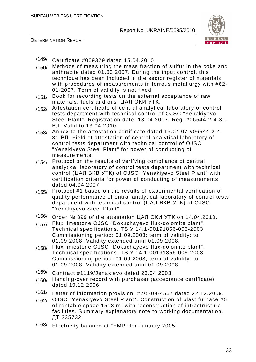



- /149/ Certificate #009329 dated 15.04.2010.
- /150/ Methods of measuring the mass fraction of sulfur in the coke and anthracite dated 01.03.2007. During the input control, this technique has been included in the sector register of materials with procedures of measurements in ferrous metallurgy with #62- 01-2007. Term of validity is not fixed.
- /151/ Book for recording tests on the external acceptance of raw materials, fuels and oils ЦАЛ ОКИ УТК.
- /152/ Attestation certificate of central analytical laboratory of control tests department with technical control of OJSC "Yenakiyevo Steel Plant". Registration date: 13.04.2007. Reg. #06544-2-4-31- ВЛ. Valid to 13.04.2010.
- /153/ Annex to the attestation certificate dated 13.04.07 #06544-2-4- 31-ВЛ. Field of attestation of central analytical laboratory of control tests department with technical control of OJSC "Yenakiyevo Steel Plant" for power of conducting of measurements.
- /154/ Protocol on the results of verifying compliance of central analytical laboratory of control tests department with technical control (ЦАЛ ВКВ УТК) of OJSC "Yenakiyevo Steel Plant" with certification criteria for power of conducting of measurements dated 04.04.2007.
- /155/ Protocol #1 based on the results of experimental verification of quality performance of entral analytical laboratory of control tests department with technical control (ЦАЛ ВКВ УТК) of OJSC "Yenakiyevo Steel Plant".
- /156/ Order № 399 of the attestation ЦАЛ ОКИ УТК on 14.04.2010.
- /157/ Flux limestone OJSC "Dokuchayevo flux-dolomite plant". Technical specifications. TS У 14.1-00191856-005-2003. Commissioning period: 01.09.2003; term of validity: to 01.09.2008. Validity extended until 01.09.2008.
- /158/ Flux limestone OJSC "Dokuchayevo flux-dolomite plant". Technical specifications. TS У 14.1-00191856-005-2003. Commissioning period: 01.09.2003; term of validity: to 01.09.2008. Validity extended until 01.09.2008.
- /159/ Contract #1119/Jenakievo dated 23.04.2003.
- /160/ Handing-over record with purchaser (acceptance certificate) dated 19.12.2006.
- /161/ Letter of information provision #7/5-08-4567 dated 22.12.2009.
- /162/ OJSC "Yenakiyevo Steel Plant". Construction of blast furnace #5 of rentable space 1513 m<sup>3</sup> with reconstruction of infrastructure facilities. Summary explanatory note to working documentation. ДТ 335732.
- /163/ Electricity balance at "EMP" for January 2005.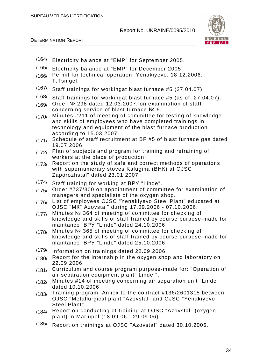BUREAU VERITAS CERTIFICATION

Report No. UKRAINE/0095/2010





/164/ Electricity balance at "EMP" for September 2005. /165/ Electricity balance at "EMP" for December 2005. /166/ Permit for technical operation. Yenakiyevo, 18.12.2006. T.Tsingel. /167/ Staff trainings for workingat blast furnace #5 (27.04.07). /168/ Staff trainings for workingat blast furnace #5 (as of 27.04.07). /169/ Order № 298 dated 12.03.2007, on examination of staff concerning service of blast furnace № 5. /170/ Minutes #211 of meeting of committee for testing of knowledge and skills of employees who have completed trainings in technology and equipment of the blast furnace production according to 15.03.2007. /171/ Schedule of staff recruitment at BF #5 of blast furnace gas dated 19.07.2006. /172/ Plan of subjects and program for training and retraining of workers at the place of production. /173/ Report on the study of safe and correct methods of operations with supernumerary stoves Kalugina (ВНК) at OJSC Zaporozhstal" dated 23.01.2007. /174/ Staff training for working at ВРУ "Linde". /175/ Order #737/300 on appointment of committee for examination of managers and specialists of the oxygen shop. /176/ List of employees OJSC "Yenakiyevo Steel Plant" educated at OJSC "МК" Azovstal" during 17.09.2006 - 07.10.2006. /177/ Minutes № 364 of meeting of committee for checking of knowledge and skills of staff trained by course purpose-made for maintance ВРУ "Linde" dated 24.10.2006. /178/ Minutes № 365 of meeting of committee for checking of knowledge and skills of staff trained by course purpose-made for maintance ВРУ "Linde" dated 25.10.2006. /179/ Information on trainings dated 22.09.2006. /180/ Report for the internship in the oxygen shop and laboratory on 22.09.2006. /181/ Curriculum and course program purpose-made for: "Operation of air separation equipment plant" Linde ". /182/ Minutes #14 of meeting concerning air separation unit "Linde" dated 10.10.2006. /183/ Training program. Annex to the contract #136/2601315 between OJSC "Metallurgical plant "Azovstal" and OJSC "Yenakiyevo Steel Plant". /184/ Report on conducting of training at OJSC "Azovstal" (oxygen plant) in Mariupol (18.09.06 - 29.09.06). /185/ Report on trainings at OJSC "Azovstal" dated 30.10.2006.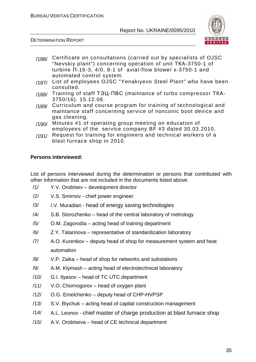

DETERMINATION REPORT

- /186/ Certificate on consultations (carried out by specialists of OJSC "Nevskiy plant") concerning operation of unit ТКА-3750-1 of turbine П-16-3, 4/0, 8-1 of axial-flow blower к-3750-1 and automated control system.
- /187/ List of employees OJSC "Yenakiyevo Steel Plant" who have been consulted.
- /188/ Training of staff ТЭЦ-ПВС (maintance of turbo compressor ТКА-3750/16). 15.12.06.
- /189/ Curriculum and course program for training of technological and maintance staff concerning service of nonconic boot device and gas cleaning.
- /190/ Minutes #1 of operating group meeting on education of employees of the service company BF #3 dated 30.03.2010.
- /191/ Request for training for engineers and technical workers of a blast furnace shop in 2010.

#### **Persons interviewed:**

List of persons interviewed during the determination or persons that contributed with other information that are not included in the documents listed above.

- /1/ Y.V. Orobtsev development director
- /2/ V.S. Smirnov chief power engineer
- /3/ I.V. Muradian head of energy saving technologies
- /4/ S.B. Storozhenko head of the central laboratory of metrology
- /5/ O.M. Zagorodia acting head of training department
- /6/ Z.Y. Tatarinova representative of standardization laboratory
- /7/ A.O. Kurenkov deputy head of shop for measurement system and heat automation
- /8/ V.P. Zaika head of shop for networks and substations
- /9/ A.M. Klymash acting head of electrotechnical laboratory
- /10/ G.I. Ilyasov head of TC UTC department
- /11/ V.O. Chornogorov head of oxygen plant
- /12/ O.G. Emelchenko deputy head of CHP-HVPSP
- /13/ S.V. Biychuk acting head of capital construction management
- /14/ A.L. Leonov chief master of charge production at blast furnace shop
- /15/ A.V. Orobtseva head of CE technical department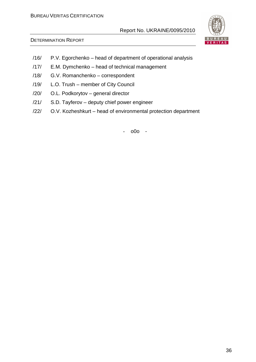

#### DETERMINATION REPORT

- /16/ P.V. Egorchenko head of department of operational analysis
- /17/ E.M. Dymchenko head of technical management
- /18/ G.V. Romanchenko correspondent
- /19/ L.O. Trush member of City Council
- /20/ O.L. Podkorytov general director
- /21/ S.D. Tayferov deputy chief power engineer
- /22/ O.V. Kozheshkurt head of environmental protection department

- o0o -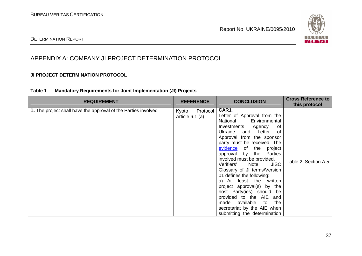

#### DETERMINATION REPORT

## APPENDIX A: COMPANY JI PROJECT DETERMINATION PROTOCOL

#### **JI PROJECT DETERMINATION PROTOCOL**

#### **Table 1 Mandatory Requirements for Joint Implementation (JI) Projects**

| <b>REQUIREMENT</b>                                             | <b>REFERENCE</b>                       | <b>CONCLUSION</b>                                                                                                                                                                                                                                                                                                                                                                                                                                                                                                                                                                        | <b>Cross Reference to</b><br>this protocol |
|----------------------------------------------------------------|----------------------------------------|------------------------------------------------------------------------------------------------------------------------------------------------------------------------------------------------------------------------------------------------------------------------------------------------------------------------------------------------------------------------------------------------------------------------------------------------------------------------------------------------------------------------------------------------------------------------------------------|--------------------------------------------|
| 1. The project shall have the approval of the Parties involved | Kyoto<br>Protocol<br>Article $6.1$ (a) | CAR1.<br>Letter of Approval from the<br>National<br>Environmental<br>Investments Agency<br>0f<br>Ukraine and Letter<br>0f<br>Approval from the sponsor<br>party must be received. The<br>evidence of the project<br>approval by the Parties<br>involved must be provided.<br><b>JISC</b><br>Note:<br>Verifiers'<br>Glossary of JI terms/Version<br>01 defines the following:<br>a) At least the written<br>project approval(s) by the<br>host Party(ies) should be<br>provided to the AIE and<br>made available to<br>the<br>secretariat by the AIE when<br>submitting the determination | Table 2, Section A.5                       |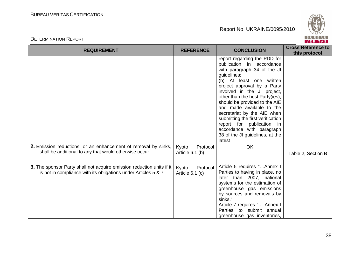

| <b>REQUIREMENT</b>                                                                                                                      | <b>REFERENCE</b>                       | <b>CONCLUSION</b>                                                                                                                                                                                                                                                                                                                                                                                                                                                             | <b>Cross Reference to</b><br>this protocol |
|-----------------------------------------------------------------------------------------------------------------------------------------|----------------------------------------|-------------------------------------------------------------------------------------------------------------------------------------------------------------------------------------------------------------------------------------------------------------------------------------------------------------------------------------------------------------------------------------------------------------------------------------------------------------------------------|--------------------------------------------|
|                                                                                                                                         |                                        | report regarding the PDD for<br>publication in accordance<br>with paragraph 34 of the JI<br>guidelines;<br>(b) At least one written<br>project approval by a Party<br>involved in the JI project,<br>other than the host Party(ies),<br>should be provided to the AIE<br>and made available to the<br>secretariat by the AIE when<br>submitting the first verification<br>report for publication in<br>accordance with paragraph<br>38 of the JI guidelines, at the<br>latest |                                            |
| 2. Emission reductions, or an enhancement of removal by sinks,<br>shall be additional to any that would otherwise occur                 | Protocol<br>Kyoto<br>Article 6.1 (b)   | <b>OK</b>                                                                                                                                                                                                                                                                                                                                                                                                                                                                     | Table 2, Section B                         |
| 3. The sponsor Party shall not acquire emission reduction units if it<br>is not in compliance with its obligations under Articles 5 & 7 | Protocol<br>Kyoto<br>Article $6.1$ (c) | Article 5 requires "Annex I<br>Parties to having in place, no<br>later than 2007, national<br>systems for the estimation of<br>greenhouse gas emissions<br>by sources and removals by<br>sinks."<br>Article 7 requires " Annex I<br>Parties to submit annual<br>greenhouse gas inventories,                                                                                                                                                                                   |                                            |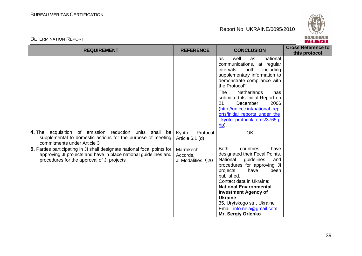

| <b>REQUIREMENT</b>                                                                                                                                                                        | <b>REFERENCE</b>                            | <b>CONCLUSION</b>                                                                                                                                                                                                                                                                                                                                                                    | <b>Cross Reference to</b><br>this protocol |
|-------------------------------------------------------------------------------------------------------------------------------------------------------------------------------------------|---------------------------------------------|--------------------------------------------------------------------------------------------------------------------------------------------------------------------------------------------------------------------------------------------------------------------------------------------------------------------------------------------------------------------------------------|--------------------------------------------|
|                                                                                                                                                                                           |                                             | well<br>national<br>as<br>as<br>communications, at regular<br>intervals,<br>both<br>including<br>supplementary information to<br>demonstrate compliance with<br>the Protocol".                                                                                                                                                                                                       |                                            |
|                                                                                                                                                                                           |                                             | <b>Netherlands</b><br>The<br>has<br>submitted its Initial Report on<br>December<br>2006<br>21<br>(http://unfccc.int/national_rep<br>orts/initial reports under the<br>kyoto_protocol/items/3765.p<br><u>hp</u> ).                                                                                                                                                                    |                                            |
| acquisition of emission reduction<br><b>4.</b> The<br>units<br>shall<br>be<br>supplemental to domestic actions for the purpose of meeting<br>commitments under Article 3                  | Kyoto<br>Protocol<br>Article 6.1 (d)        | OK                                                                                                                                                                                                                                                                                                                                                                                   |                                            |
| 5. Parties participating in JI shall designate national focal points for<br>approving JI projects and have in place national guidelines and<br>procedures for the approval of JI projects | Marrakech<br>Accords,<br>JI Modalities, §20 | <b>Both</b><br>countries<br>have<br>designated their Focal Points.<br>guidelines<br>National<br>and<br>procedures for approving JI<br>projects<br>have<br>been<br>published.<br>Contact data in Ukraine:<br><b>National Environmental</b><br><b>Investment Agency of</b><br><b>Ukraine</b><br>35, Urytskogo str., Ukraine<br>Email: info.neia@gmail.com<br><b>Mr. Sergiy Orlenko</b> |                                            |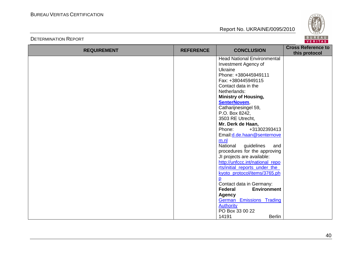

| <b>REQUIREMENT</b> | <b>REFERENCE</b> | <b>CONCLUSION</b>                  | <b>Cross Reference to</b><br>this protocol |
|--------------------|------------------|------------------------------------|--------------------------------------------|
|                    |                  | <b>Head National Environmental</b> |                                            |
|                    |                  | Investment Agency of               |                                            |
|                    |                  | Ukraine                            |                                            |
|                    |                  | Phone: +380445949111               |                                            |
|                    |                  | Fax: +380445949115                 |                                            |
|                    |                  | Contact data in the                |                                            |
|                    |                  | Netherlands:                       |                                            |
|                    |                  | <b>Ministry of Housing,</b>        |                                            |
|                    |                  | SenterNovem,                       |                                            |
|                    |                  | Catharijnesingel 59,               |                                            |
|                    |                  | P.O. Box 8242,                     |                                            |
|                    |                  | 3503 RE Utrecht,                   |                                            |
|                    |                  | Mr. Derk de Haan,                  |                                            |
|                    |                  | Phone:<br>+31302393413             |                                            |
|                    |                  | Email: d.de.haan@senternove        |                                            |
|                    |                  | m.nl                               |                                            |
|                    |                  | National<br>guidelines<br>and      |                                            |
|                    |                  | procedures for the approving       |                                            |
|                    |                  | JI projects are available:         |                                            |
|                    |                  | http://unfccc.int/national_repo    |                                            |
|                    |                  | rts/initial_reports_under_the_     |                                            |
|                    |                  | kyoto_protocol/items/3765.ph       |                                            |
|                    |                  | p                                  |                                            |
|                    |                  | Contact data in Germany:           |                                            |
|                    |                  | Federal<br><b>Environment</b>      |                                            |
|                    |                  | <b>Agency</b>                      |                                            |
|                    |                  | <b>German Emissions Trading</b>    |                                            |
|                    |                  | <b>Authority</b>                   |                                            |
|                    |                  | PO Box 33 00 22                    |                                            |
|                    |                  | 14191<br><b>Berlin</b>             |                                            |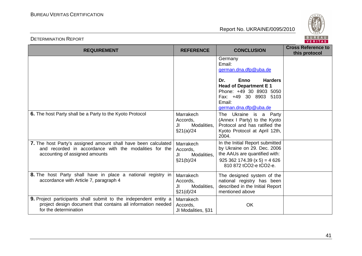

| <b>REQUIREMENT</b>                                                                                                                                         | <b>REFERENCE</b>                                         | <b>CONCLUSION</b>                                                                                                                                                                                         | <b>Cross Reference to</b><br>this protocol |
|------------------------------------------------------------------------------------------------------------------------------------------------------------|----------------------------------------------------------|-----------------------------------------------------------------------------------------------------------------------------------------------------------------------------------------------------------|--------------------------------------------|
|                                                                                                                                                            |                                                          | Germany<br>Email:<br>german.dna.dfp@uba.de<br><b>Enno</b><br><b>Harders</b><br>Dr.<br><b>Head of Department E1</b><br>Phone: +49 30 8903 5050<br>Fax: +49 30 8903 5103<br>Email:<br>german.dna.dfp@uba.de |                                            |
| 6. The host Party shall be a Party to the Kyoto Protocol                                                                                                   | Marrakech<br>Accords,<br>JI<br>Modalities,<br>\$21(a)/24 | The Ukraine is a Party<br>(Annex I Party) to the Kyoto<br>Protocol and has ratified the<br>Kyoto Protocol at April 12th,<br>2004.                                                                         |                                            |
| 7. The host Party's assigned amount shall have been calculated<br>and recorded in accordance with the modalities for the<br>accounting of assigned amounts | Marrakech<br>Accords,<br>Modalities,<br>JI<br>§21(b)/24  | In the Initial Report submitted<br>by Ukraine on 29. Dec. 2006<br>the AAUs are quantified with:<br>$925\,362\,174.39\ (x\,5) = 4\,626$<br>810 872 tCO2-e tCO2-e.                                          |                                            |
| 8. The host Party shall have in place a national registry in<br>accordance with Article 7, paragraph 4                                                     | Marrakech<br>Accords,<br>JI<br>Modalities,<br>\$21(d)/24 | The designed system of the<br>national registry has been<br>described in the Initial Report<br>mentioned above                                                                                            |                                            |
| 9. Project participants shall submit to the independent entity a<br>project design document that contains all information needed<br>for the determination  | Marrakech<br>Accords,<br>JI Modalities, §31              | OK                                                                                                                                                                                                        |                                            |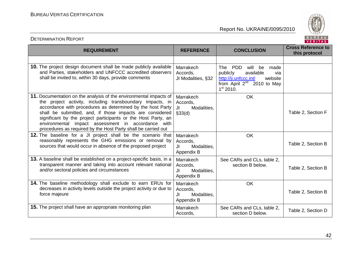

| <b>REQUIREMENT</b>                                                                                                                                                                                                                                                                                                                                                                                                                               | <b>REFERENCE</b>                                          | <b>CONCLUSION</b>                                                                                                                                             | <b>Cross Reference to</b><br>this protocol |
|--------------------------------------------------------------------------------------------------------------------------------------------------------------------------------------------------------------------------------------------------------------------------------------------------------------------------------------------------------------------------------------------------------------------------------------------------|-----------------------------------------------------------|---------------------------------------------------------------------------------------------------------------------------------------------------------------|--------------------------------------------|
|                                                                                                                                                                                                                                                                                                                                                                                                                                                  |                                                           |                                                                                                                                                               |                                            |
| <b>10.</b> The project design document shall be made publicly available<br>and Parties, stakeholders and UNFCCC accredited observers<br>shall be invited to, within 30 days, provide comments                                                                                                                                                                                                                                                    | Marrakech<br>Accords,<br>JI Modalities, §32               | The PDD<br>will<br>be<br>made<br>publicly<br>available<br>via<br>http://ji.unfccc.int/<br>website<br>from April $2^{nd}$ 2010 to May<br>1 <sup>st</sup> 2010. |                                            |
| 11. Documentation on the analysis of the environmental impacts of<br>the project activity, including transboundary impacts, in<br>accordance with procedures as determined by the host Party<br>shall be submitted, and, if those impacts are considered<br>significant by the project participants or the Host Party, an<br>environmental impact assessment in accordance with<br>procedures as required by the Host Party shall be carried out | Marrakech<br>Accords,<br>Modalities,<br>JI.<br>§33(d)     | OK                                                                                                                                                            | Table 2, Section F                         |
| 12. The baseline for a JI project shall be the scenario that<br>reasonably represents the GHG emissions or removal by<br>sources that would occur in absence of the proposed project                                                                                                                                                                                                                                                             | Marrakech<br>Accords,<br>JI<br>Modalities,<br>Appendix B  | <b>OK</b>                                                                                                                                                     | Table 2, Section B                         |
| 13. A baseline shall be established on a project-specific basis, in a<br>transparent manner and taking into account relevant national<br>and/or sectoral policies and circumstances                                                                                                                                                                                                                                                              | Marrakech<br>Accords.<br>Modalities,<br>JI<br>Appendix B  | See CARs and CLs, table 2,<br>section B below.                                                                                                                | Table 2, Section B                         |
| 14. The baseline methodology shall exclude to earn ERUs for<br>decreases in activity levels outside the project activity or due to<br>force majeure                                                                                                                                                                                                                                                                                              | Marrakech<br>Accords,<br>Modalities,<br>JI.<br>Appendix B | OK                                                                                                                                                            | Table 2, Section B                         |
| <b>15.</b> The project shall have an appropriate monitoring plan                                                                                                                                                                                                                                                                                                                                                                                 | Marrakech<br>Accords,                                     | See CARs and CLs, table 2,<br>section D below.                                                                                                                | Table 2, Section D                         |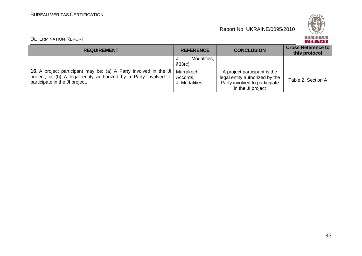

### DETERMINATION REPORT

BUREAU<br><mark>VERITAS</mark>

| <b>REQUIREMENT</b>                                                                                                                                                            | <b>REFERENCE</b>                       | <b>CONCLUSION</b>                                                                                                    | <b>Cross Reference to</b><br>this protocol |
|-------------------------------------------------------------------------------------------------------------------------------------------------------------------------------|----------------------------------------|----------------------------------------------------------------------------------------------------------------------|--------------------------------------------|
|                                                                                                                                                                               | Modalities,<br>JI<br>§33(c)            |                                                                                                                      |                                            |
| <b>16.</b> A project participant may be: (a) A Party involved in the JI<br>project; or (b) A legal entity authorized by a Party involved to<br>participate in the JI project. | Marrakech<br>Accords,<br>JI Modalities | A project participant is the<br>legal entity authorized by the<br>Party involved to participate<br>in the JI project | Table 2, Section A                         |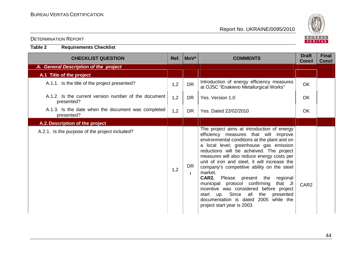**Table 2 Requirements Checklist** 

Report No. UKRAINE/0095/2010



| <b>CHECKLIST QUESTION</b>                                          |     | Ref. MoV* | <b>COMMENTS</b>                                                                                                                                                                                                                                                                                                                                                                                                                                                                                                                                                                                                                       | <b>Draft</b><br><b>Concl</b> | <b>Final</b><br><b>Concl</b> |
|--------------------------------------------------------------------|-----|-----------|---------------------------------------------------------------------------------------------------------------------------------------------------------------------------------------------------------------------------------------------------------------------------------------------------------------------------------------------------------------------------------------------------------------------------------------------------------------------------------------------------------------------------------------------------------------------------------------------------------------------------------------|------------------------------|------------------------------|
| A. General Description of the project                              |     |           |                                                                                                                                                                                                                                                                                                                                                                                                                                                                                                                                                                                                                                       |                              |                              |
| A.1 Title of the project                                           |     |           |                                                                                                                                                                                                                                                                                                                                                                                                                                                                                                                                                                                                                                       |                              |                              |
| A.1.1. Is the title of the project presented?                      | 1,2 | <b>DR</b> | Introduction of energy efficiency measures<br>at OJSC "Enakievo Metallurgical Works"                                                                                                                                                                                                                                                                                                                                                                                                                                                                                                                                                  | <b>OK</b>                    |                              |
| A.1.2. Is the current version number of the document<br>presented? | 1,2 | DR.       | Yes. Version 1.0                                                                                                                                                                                                                                                                                                                                                                                                                                                                                                                                                                                                                      | <b>OK</b>                    |                              |
| A.1.3. Is the date when the document was completed<br>presented?   | 1,2 | <b>DR</b> | Yes. Dated 22/02/2010                                                                                                                                                                                                                                                                                                                                                                                                                                                                                                                                                                                                                 | <b>OK</b>                    |                              |
| A.2. Description of the project                                    |     |           |                                                                                                                                                                                                                                                                                                                                                                                                                                                                                                                                                                                                                                       |                              |                              |
| A.2.1. Is the purpose of the project included?                     | 1,2 | <b>DR</b> | The project aims at introduction of energy<br>efficiency measures that will improve<br>environmental conditions at the plant and on<br>a local level; greenhouse gas emission<br>reductions will be achieved. The project<br>measures will also reduce energy costs per<br>unit of iron and steel, it will increase the<br>company's competitive ability on the steel<br>market.<br>CAR2.<br>Please present the regional<br>municipal protocol confirming<br>that JI<br>incentive was considered before project<br>start up. Since all<br>the<br>presented<br>documentation is dated 2005<br>while the<br>project start year is 2003. | CAR <sub>2</sub>             |                              |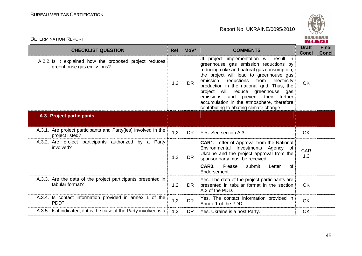

| <b>CHECKLIST QUESTION</b>                                                            |     | Ref. MoV* | <b>COMMENTS</b>                                                                                                                                                                                                                                                                                                                                                                                                                                   | <b>Draft</b><br><b>Concl</b> | <b>Final</b><br><b>Concl</b> |
|--------------------------------------------------------------------------------------|-----|-----------|---------------------------------------------------------------------------------------------------------------------------------------------------------------------------------------------------------------------------------------------------------------------------------------------------------------------------------------------------------------------------------------------------------------------------------------------------|------------------------------|------------------------------|
| A.2.2. Is it explained how the proposed project reduces<br>greenhouse gas emissions? | 1,2 | <b>DR</b> | JI project implementation will result in<br>greenhouse gas emission reductions by<br>reducing coke and natural gas consumption;<br>the project will lead to greenhouse gas<br>reductions<br>emission<br>from<br>electricity<br>production in the national grid. Thus, the<br>project will reduce greenhouse<br>gas<br>emissions and prevent their further<br>accumulation in the atmosphere, therefore<br>contributing to abating climate change. | <b>OK</b>                    |                              |
| A.3. Project participants                                                            |     |           |                                                                                                                                                                                                                                                                                                                                                                                                                                                   |                              |                              |
| A.3.1. Are project participants and Party(ies) involved in the<br>project listed?    | 1,2 | <b>DR</b> | Yes. See section A.3.                                                                                                                                                                                                                                                                                                                                                                                                                             | <b>OK</b>                    |                              |
| A.3.2. Are project participants authorized by a Party<br>involved?                   | 1,2 | DR        | <b>CAR1.</b> Letter of Approval from the National<br>Environmental Investments Agency of<br>Ukraine and the project approval from the<br>sponsor party must be received.<br>CAR3.<br>Please<br>submit<br>Letter<br>0f<br>Endorsement.                                                                                                                                                                                                             | <b>CAR</b><br>1,3            |                              |
| A.3.3. Are the data of the project participants presented in<br>tabular format?      | 1,2 | <b>DR</b> | Yes. The data of the project participants are<br>presented in tabular format in the section<br>A.3 of the PDD.                                                                                                                                                                                                                                                                                                                                    | <b>OK</b>                    |                              |
| A.3.4. Is contact information provided in annex 1 of the<br>PDD?                     | 1,2 | <b>DR</b> | Yes. The contact information provided in<br>Annex 1 of the PDD.                                                                                                                                                                                                                                                                                                                                                                                   | <b>OK</b>                    |                              |
| A.3.5. Is it indicated, if it is the case, if the Party involved is a                | 1,2 | <b>DR</b> | Yes. Ukraine is a host Party.                                                                                                                                                                                                                                                                                                                                                                                                                     | OK                           |                              |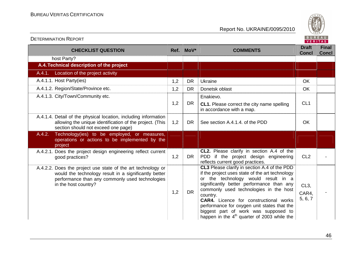

| <b>CHECKLIST QUESTION</b>                                                                                                                                                                        |     | Ref. MoV* | <b>COMMENTS</b>                                                                                                                                                                                                                                                                                                                                                                                                             | <b>Draft</b><br><b>Concl</b> | <b>Final</b><br><b>Concl</b> |
|--------------------------------------------------------------------------------------------------------------------------------------------------------------------------------------------------|-----|-----------|-----------------------------------------------------------------------------------------------------------------------------------------------------------------------------------------------------------------------------------------------------------------------------------------------------------------------------------------------------------------------------------------------------------------------------|------------------------------|------------------------------|
| host Party?                                                                                                                                                                                      |     |           |                                                                                                                                                                                                                                                                                                                                                                                                                             |                              |                              |
| A.4. Technical description of the project                                                                                                                                                        |     |           |                                                                                                                                                                                                                                                                                                                                                                                                                             |                              |                              |
| A.4.1. Location of the project activity                                                                                                                                                          |     |           |                                                                                                                                                                                                                                                                                                                                                                                                                             |                              |                              |
| A.4.1.1. Host Party(ies)                                                                                                                                                                         | 1,2 | <b>DR</b> | Ukraine                                                                                                                                                                                                                                                                                                                                                                                                                     | <b>OK</b>                    |                              |
| A.4.1.2. Region/State/Province etc.                                                                                                                                                              | 1,2 | <b>DR</b> | Donetsk oblast                                                                                                                                                                                                                                                                                                                                                                                                              | <b>OK</b>                    |                              |
| A.4.1.3. City/Town/Community etc.                                                                                                                                                                |     |           | Enakievo.                                                                                                                                                                                                                                                                                                                                                                                                                   |                              |                              |
|                                                                                                                                                                                                  | 1,2 | <b>DR</b> | <b>CL1.</b> Please correct the city name spelling<br>in accordance with a map.                                                                                                                                                                                                                                                                                                                                              | CL <sub>1</sub>              |                              |
| A.4.1.4. Detail of the physical location, including information<br>allowing the unique identification of the project. (This<br>section should not exceed one page)                               | 1,2 | <b>DR</b> | See section A.4.1.4, of the PDD                                                                                                                                                                                                                                                                                                                                                                                             | <b>OK</b>                    |                              |
| Technology(ies) to be employed, or measures,<br>A.4.2.<br>operations or actions to be implemented by the<br>project                                                                              |     |           |                                                                                                                                                                                                                                                                                                                                                                                                                             |                              |                              |
| A.4.2.1. Does the project design engineering reflect current<br>good practices?                                                                                                                  | 1,2 | <b>DR</b> | <b>CL2.</b> Please clarify in section A.4 of the<br>PDD if the project design engineering<br>reflects current good practices.                                                                                                                                                                                                                                                                                               | CL <sub>2</sub>              |                              |
| A.4.2.2. Does the project use state of the art technology or<br>would the technology result in a significantly better<br>performance than any commonly used technologies<br>in the host country? | 1,2 | <b>DR</b> | CL3 Please clarify in section A.4 of the PDD<br>if the project uses state of the art technology<br>or the technology would result in a<br>significantly better performance than any<br>commonly used technologies in the host<br>country.<br>CAR4. Licence for constructional works<br>performance for oxygen unit states that the<br>biggest part of work was supposed to<br>happen in the $4th$ quarter of 2003 while the | $CL3$ ,<br>CAR4,<br>5, 6, 7  |                              |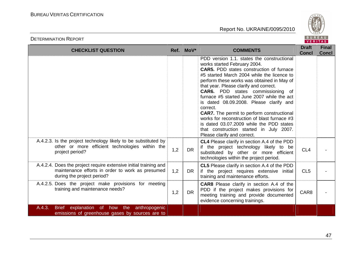

| <b>CHECKLIST QUESTION</b>                                                                                                                          |     | Ref. MoV* | <b>COMMENTS</b>                                                                                                                                                                                                                                                                                                                                                                                                                                                                                                                                                                                                                                 | <b>Draft</b><br><b>Concl</b> | <b>Final</b><br><b>Concl</b> |
|----------------------------------------------------------------------------------------------------------------------------------------------------|-----|-----------|-------------------------------------------------------------------------------------------------------------------------------------------------------------------------------------------------------------------------------------------------------------------------------------------------------------------------------------------------------------------------------------------------------------------------------------------------------------------------------------------------------------------------------------------------------------------------------------------------------------------------------------------------|------------------------------|------------------------------|
|                                                                                                                                                    |     |           | PDD version 1.1. states the constructional<br>works started February 2004.<br><b>CAR5.</b> PDD states construction of furnace<br>#5 started March 2004 while the licence to<br>perform these works was obtained in May of<br>that year. Please clarify and correct.<br><b>CAR6.</b> PDD states commissioning of<br>furnace #5 started June 2007 while the act<br>is dated 08.09.2008. Please clarify and<br>correct.<br><b>CAR7.</b> The permit to perform constructional<br>works for reconstruction of blast furnace #3<br>is dated 03.07.2009 while the PDD states<br>that construction started in July 2007.<br>Please clarify and correct. |                              |                              |
| A.4.2.3. Is the project technology likely to be substituted by<br>other or more efficient technologies within the<br>project period?               | 1,2 | <b>DR</b> | CL4 Please clarify in section A.4 of the PDD<br>if the project technology likely to be<br>substituted by other or more efficient<br>technologies within the project period.                                                                                                                                                                                                                                                                                                                                                                                                                                                                     | CL <sub>4</sub>              |                              |
| A.4.2.4. Does the project require extensive initial training and<br>maintenance efforts in order to work as presumed<br>during the project period? | 1,2 | DR        | CL5 Please clarify in section A.4 of the PDD<br>if the project requires extensive initial<br>training and maintenance efforts.                                                                                                                                                                                                                                                                                                                                                                                                                                                                                                                  | CL <sub>5</sub>              |                              |
| A.4.2.5. Does the project make provisions for meeting<br>training and maintenance needs?                                                           | 1,2 | <b>DR</b> | <b>CAR8</b> Please clarify in section A.4 of the<br>PDD if the project makes provisions for<br>meeting training and provide documented<br>evidence concerning trainings.                                                                                                                                                                                                                                                                                                                                                                                                                                                                        | CAR8                         |                              |
| A.4.3.<br><b>Brief</b><br>explanation of how the<br>anthropogenic<br>emissions of greenhouse gases by sources are to                               |     |           |                                                                                                                                                                                                                                                                                                                                                                                                                                                                                                                                                                                                                                                 |                              |                              |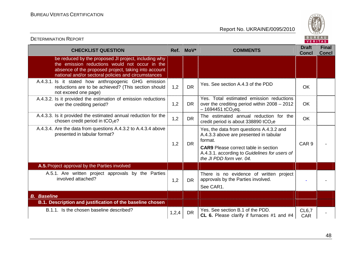

| <b>CHECKLIST QUESTION</b>                                                                                                                                                                                             |       | Ref. MoV* | <b>COMMENTS</b>                                                                                                                                                                                                           | <b>Draft</b><br><b>Concl</b> | <b>Final</b><br><b>Concl</b> |
|-----------------------------------------------------------------------------------------------------------------------------------------------------------------------------------------------------------------------|-------|-----------|---------------------------------------------------------------------------------------------------------------------------------------------------------------------------------------------------------------------------|------------------------------|------------------------------|
| be reduced by the proposed JI project, including why<br>the emission reductions would not occur in the<br>absence of the proposed project, taking into account<br>national and/or sectoral policies and circumstances |       |           |                                                                                                                                                                                                                           |                              |                              |
| A.4.3.1. Is it stated how anthropogenic GHG emission<br>reductions are to be achieved? (This section should<br>not exceed one page)                                                                                   | 1,2   | <b>DR</b> | Yes. See section A.4.3 of the PDD                                                                                                                                                                                         | <b>OK</b>                    |                              |
| A.4.3.2. Is it provided the estimation of emission reductions<br>over the crediting period?                                                                                                                           | 1,2   | DR        | Yes. Total estimated emission reductions<br>over the crediting period within 2008 - 2012<br>$-1694451$ tCO <sub>2</sub> eq.                                                                                               | <b>OK</b>                    |                              |
| A.4.3.3. Is it provided the estimated annual reduction for the<br>chosen credit period in $tCO2e$ ?                                                                                                                   | 1,2   | <b>DR</b> | The estimated annual reduction for the<br>credit period is about 338890 tCO <sub>2</sub> e                                                                                                                                | <b>OK</b>                    |                              |
| A.4.3.4. Are the data from questions A.4.3.2 to A.4.3.4 above<br>presented in tabular format?                                                                                                                         | 1,2   | <b>DR</b> | Yes, the data from questions A.4.3.2 and<br>A.4.3.3 above are presented in tabular<br>format.<br><b>CAR9</b> Please correct table in section<br>A.4.3.1. according to Guidelines for users of<br>the JI PDD form ver. 04. | CAR <sub>9</sub>             |                              |
| A.5. Project approval by the Parties involved                                                                                                                                                                         |       |           |                                                                                                                                                                                                                           |                              |                              |
| A.5.1. Are written project approvals by the Parties<br>involved attached?                                                                                                                                             | 1,2   | <b>DR</b> | There is no evidence of written project<br>approvals by the Parties involved.<br>See CAR1.                                                                                                                                |                              |                              |
| <b>B.</b> Baseline                                                                                                                                                                                                    |       |           |                                                                                                                                                                                                                           |                              |                              |
| B.1. Description and justification of the baseline chosen                                                                                                                                                             |       |           |                                                                                                                                                                                                                           |                              |                              |
| B.1.1. Is the chosen baseline described?                                                                                                                                                                              | 1,2,4 | <b>DR</b> | Yes. See section B.1 of the PDD.<br>CL 6. Please clarify if furnaces #1 and #4                                                                                                                                            | <b>CL6,7</b><br><b>CAR</b>   |                              |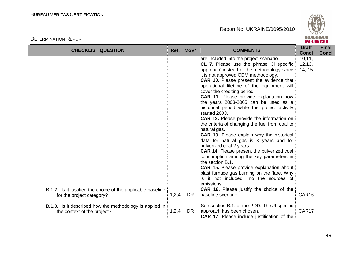

| <b>CHECKLIST QUESTION</b>                                                                 |       | Ref. MoV* | <b>COMMENTS</b>                                                                                                                                                                                                                                                                                                                                                                                                                                                                                                                                                                                                                                                                                                                                                                                                                                                                                                                                                                                                                                              | <b>Draft</b><br><b>Concl</b>          | <b>Final</b><br><b>Concl</b> |
|-------------------------------------------------------------------------------------------|-------|-----------|--------------------------------------------------------------------------------------------------------------------------------------------------------------------------------------------------------------------------------------------------------------------------------------------------------------------------------------------------------------------------------------------------------------------------------------------------------------------------------------------------------------------------------------------------------------------------------------------------------------------------------------------------------------------------------------------------------------------------------------------------------------------------------------------------------------------------------------------------------------------------------------------------------------------------------------------------------------------------------------------------------------------------------------------------------------|---------------------------------------|------------------------------|
| B.1.2. Is it justified the choice of the applicable baseline<br>for the project category? | 1,2,4 | DR.       | are included into the project scenario.<br><b>CL 7.</b> Please use the phrase 'Ji specific<br>approach' instead of the methodology since<br>it is not approved CDM methodology.<br><b>CAR 10.</b> Please present the evidence that<br>operational lifetime of the equipment will<br>cover the crediting period.<br>CAR 11. Please provide explanation how<br>the years 2003-2005 can be used as a<br>historical period while the project activity<br>started 2003.<br>CAR 12. Please provide the information on<br>the criteria of changing the fuel from coal to<br>natural gas.<br><b>CAR 13.</b> Please explain why the historical<br>data for natural gas is 3 years and for<br>pulverized coal 2 years.<br><b>CAR 14.</b> Please present the pulverized coal<br>consumption among the key parameters in<br>the section B.1.<br><b>CAR 15.</b> Please provide explanation about<br>blast furnace gas burning on the flare. Why<br>is it not included into the sources of<br>emissions.<br>CAR 16. Please justify the choice of the<br>baseline scenario. | 10, 11,<br>12, 13,<br>14, 15<br>CAR16 |                              |
|                                                                                           |       |           |                                                                                                                                                                                                                                                                                                                                                                                                                                                                                                                                                                                                                                                                                                                                                                                                                                                                                                                                                                                                                                                              |                                       |                              |
| B.1.3. Is it described how the methodology is applied in<br>the context of the project?   | 1,2,4 | <b>DR</b> | See section B.1. of the PDD. The JI specific<br>approach has been chosen.<br><b>CAR 17.</b> Please include justification of the                                                                                                                                                                                                                                                                                                                                                                                                                                                                                                                                                                                                                                                                                                                                                                                                                                                                                                                              | CAR17                                 |                              |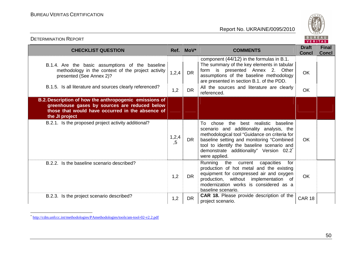

| <b>CHECKLIST QUESTION</b>                                                                                                                                                                      |                | Ref. MoV*              | <b>COMMENTS</b>                                                                                                                                                                                                                                                                          | <b>Draft</b><br><b>Concl</b> | <b>Final</b><br><b>Concl</b> |
|------------------------------------------------------------------------------------------------------------------------------------------------------------------------------------------------|----------------|------------------------|------------------------------------------------------------------------------------------------------------------------------------------------------------------------------------------------------------------------------------------------------------------------------------------|------------------------------|------------------------------|
| B.1.4. Are the basic assumptions of the baseline<br>methodology in the context of the project activity<br>presented (See Annex 2)?<br>B.1.5. Is all literature and sources clearly referenced? | 1, 2, 4<br>1,2 | <b>DR</b><br><b>DR</b> | component (44/12) in the formulas in B.1.<br>The summary of the key elements in tabular<br>form is presented Annex 2. Other<br>assumptions of the baseline methodology<br>are presented in section B.1. of the PDD.<br>All the sources and literature are clearly<br>referenced.         | <b>OK</b><br><b>OK</b>       |                              |
| B.2. Description of how the anthropogenic emissions of<br>greenhouse gases by sources are reduced below<br>those that would have occurred in the absence of<br>the JI project                  |                |                        |                                                                                                                                                                                                                                                                                          |                              |                              |
| B.2.1. Is the proposed project activity additional?                                                                                                                                            | 1,2,4<br>, 5   | <b>DR</b>              | To chose the best realistic baseline<br>scenario and additionality analysis, the<br>methodological tool "Guidance on criteria for<br>baseline setting and monitoring "Combined<br>tool to identify the baseline scenario and<br>demonstrate additionality" Version 02.2<br>were applied. | <b>OK</b>                    |                              |
| B.2.2. Is the baseline scenario described?                                                                                                                                                     | 1,2            | DR.                    | Running<br>the current capacities<br>for<br>production of hot metal and the existing<br>equipment for compressed air and oxygen<br>production, without implementation of<br>modernization works is considered as a<br>baseline scenario.                                                 | <b>OK</b>                    |                              |
| B.2.3. Is the project scenario described?                                                                                                                                                      | 1,2            | DR.                    | CAR 18. Please provide description of the<br>project scenario.                                                                                                                                                                                                                           | <b>CAR 18</b>                |                              |

<sup>\*</sup> http://cdm.unfccc.int/methodologies/PAmethodologies/tools/am-tool-02-v2.2.pdf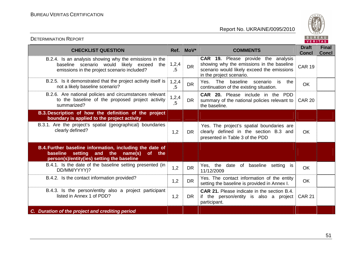

| <b>CHECKLIST QUESTION</b>                                                                                                                                  |              | Ref. MoV* | <b>COMMENTS</b>                                                                                                                                                   | <b>Draft</b><br><b>Concl</b> | <b>Final</b><br><b>Concl</b> |
|------------------------------------------------------------------------------------------------------------------------------------------------------------|--------------|-----------|-------------------------------------------------------------------------------------------------------------------------------------------------------------------|------------------------------|------------------------------|
| B.2.4. Is an analysis showing why the emissions in the<br>baseline scenario would likely exceed the<br>emissions in the project scenario included?         | 1,2,4<br>, 5 | <b>DR</b> | <b>CAR 19.</b> Please provide the analysis<br>showing why the emissions in the baseline<br>scenario would likely exceed the emissions<br>in the project scenario. | <b>CAR 19</b>                |                              |
| B.2.5. Is it demonstrated that the project activity itself is<br>not a likely baseline scenario?                                                           | 1,2,4<br>,5  | <b>DR</b> | Yes.<br><b>The</b><br>baseline scenario<br>the<br>is is<br>continuation of the existing situation.                                                                | <b>OK</b>                    |                              |
| B.2.6. Are national policies and circumstances relevant<br>to the baseline of the proposed project activity<br>summarized?                                 | 1,2,4<br>, 5 | DR.       | <b>CAR 20.</b> Please include in the PDD<br>summary of the national policies relevant to<br>the baseline.                                                         | <b>CAR 20</b>                |                              |
| B.3. Description of how the definition of the project<br>boundary is applied to the project activity                                                       |              |           |                                                                                                                                                                   |                              |                              |
| B.3.1. Are the project's spatial (geographical) boundaries<br>clearly defined?                                                                             | 1,2          | DR.       | Yes. The project's spatial boundaries are<br>clearly defined in the section B.3 and<br>presented in Table 3 of the PDD                                            | <b>OK</b>                    |                              |
| B.4. Further baseline information, including the date of<br>setting<br>and the name(s)<br>baseline<br>of the<br>person(s)/entity(ies) setting the baseline |              |           |                                                                                                                                                                   |                              |                              |
| B.4.1. Is the date of the baseline setting presented (in<br>DD/MM/YYYY)?                                                                                   | 1,2          | <b>DR</b> | Yes, the date of baseline setting is<br>11/12/2009                                                                                                                | <b>OK</b>                    |                              |
| B.4.2. Is the contact information provided?                                                                                                                | 1,2          | <b>DR</b> | Yes. The contact information of the entity<br>setting the baseline is provided in Annex I.                                                                        | <b>OK</b>                    |                              |
| B.4.3. Is the person/entity also a project participant<br>listed in Annex 1 of PDD?                                                                        | 1,2          | DR.       | <b>CAR 21.</b> Please indicate in the section B.4.<br>if the person/entity is also a project<br>participant.                                                      | <b>CAR 21</b>                |                              |
| C. Duration of the project and crediting period                                                                                                            |              |           |                                                                                                                                                                   |                              |                              |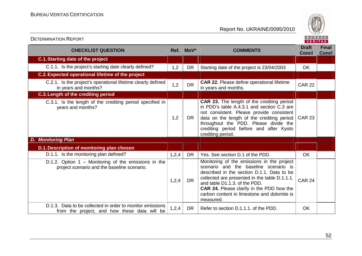

| <b>CHECKLIST QUESTION</b>                                                                                 |       | Ref. MoV*<br><b>COMMENTS</b> |                                                                                                                                                                                                                                                                                                                                     | <b>Draft</b><br><b>Concl</b> | <b>Final</b><br><b>Concl</b> |
|-----------------------------------------------------------------------------------------------------------|-------|------------------------------|-------------------------------------------------------------------------------------------------------------------------------------------------------------------------------------------------------------------------------------------------------------------------------------------------------------------------------------|------------------------------|------------------------------|
| <b>C.1. Starting date of the project</b>                                                                  |       |                              |                                                                                                                                                                                                                                                                                                                                     |                              |                              |
| C.1.1. Is the project's starting date clearly defined?                                                    | 1,2   | <b>DR</b>                    | Starting date of the project is 23/04/2003                                                                                                                                                                                                                                                                                          | OK                           |                              |
| C.2. Expected operational lifetime of the project                                                         |       |                              |                                                                                                                                                                                                                                                                                                                                     |                              |                              |
| C.2.1. Is the project's operational lifetime clearly defined<br>in years and months?                      | 1,2   | <b>DR</b>                    | <b>CAR 22.</b> Please define operational lifetime<br>in years and months.                                                                                                                                                                                                                                                           | <b>CAR 22</b>                |                              |
| C.3. Length of the crediting period                                                                       |       |                              |                                                                                                                                                                                                                                                                                                                                     |                              |                              |
| C.3.1. Is the length of the crediting period specified in<br>years and months?                            | 1,2   | DR                           | CAR 23. The length of the crediting period<br>in PDD's table A.4.3.1 and section C.3 are<br>not consistent. Please provide consistent<br>data on the length of the crediting period<br>throughout the PDD. Please divide the<br>crediting period before and after Kyoto<br>crediting period.                                        | <b>CAR 23</b>                |                              |
| <b>Monitoring Plan</b><br>D.                                                                              |       |                              |                                                                                                                                                                                                                                                                                                                                     |                              |                              |
| D.1. Description of monitoring plan chosen                                                                |       |                              |                                                                                                                                                                                                                                                                                                                                     |                              |                              |
| D.1.1. Is the monitoring plan defined?                                                                    | 1,2,4 | <b>DR</b>                    | Yes. See section D.1 of the PDD.                                                                                                                                                                                                                                                                                                    | <b>OK</b>                    |                              |
| D.1.2. Option $1 -$ Monitoring of the emissions in the<br>project scenario and the baseline scenario.     | 1,2,4 | <b>DR</b>                    | Monitoring of the emissions in the project<br>scenario and the baseline scenario is<br>described in the section D.1.1. Data to be<br>collected are presented in the table D.1.1.1.<br>and table D1.1.3, of the PDD.<br><b>CAR 24.</b> Please clarify in the PDD how the<br>carbon content in limestone and dolomite is<br>measured. | <b>CAR 24</b>                |                              |
| D.1.3. Data to be collected in order to monitor emissions<br>from the project, and how these data will be | 1,2,4 | <b>DR</b>                    | Refer to section D.1.1.1. of the PDD.                                                                                                                                                                                                                                                                                               | OK                           |                              |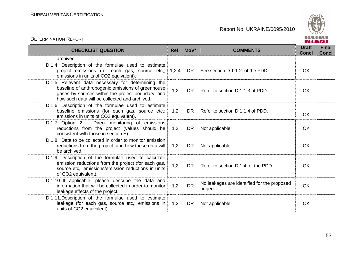

| <b>CHECKLIST QUESTION</b>                                                                                                                                                                                     |       | Ref. MoV* | <b>COMMENTS</b>                                         | <b>Draft</b><br><b>Concl</b> | <b>Final</b><br><b>Concl</b> |
|---------------------------------------------------------------------------------------------------------------------------------------------------------------------------------------------------------------|-------|-----------|---------------------------------------------------------|------------------------------|------------------------------|
| archived.                                                                                                                                                                                                     |       |           |                                                         |                              |                              |
| D.1.4. Description of the formulae used to estimate<br>project emissions (for each gas, source etc,;<br>emissions in units of CO2 equivalent).                                                                | 1,2,4 | DR        | See section D.1.1.2. of the PDD.                        | <b>OK</b>                    |                              |
| D.1.5. Relevant data necessary for determining the<br>baseline of anthropogenic emissions of greenhouse<br>gases by sources within the project boundary, and<br>how such data will be collected and archived. | 1,2   | DR.       | Refer to section D.1.1.3 of PDD.                        | OK.                          |                              |
| D.1.6. Description of the formulae used to estimate<br>baseline emissions (for each gas, source etc,;<br>emissions in units of CO2 equivalent).                                                               | 1,2   | DR.       | Refer to section D.1.1.4 of PDD.                        | <b>OK</b>                    |                              |
| D.1.7. Option 2 - Direct monitoring of emissions<br>reductions from the project (values should be<br>consistent with those in section E)                                                                      | 1,2   | <b>DR</b> | Not applicable.                                         | <b>OK</b>                    |                              |
| D.1.8. Data to be collected in order to monitor emission<br>reductions from the project, and how these data will<br>be archived.                                                                              | 1,2   | <b>DR</b> | Not applicable.                                         | OK                           |                              |
| D.1.9. Description of the formulae used to calculate<br>emission reductions from the project (for each gas,<br>source etc,; emissions/emission reductions in units<br>of CO2 equivalent).                     | 1,2   | DR.       | Refer to section D.1.4, of the PDD                      | <b>OK</b>                    |                              |
| D.1.10. If applicable, please describe the data and<br>information that will be collected in order to monitor<br>leakage effects of the project.                                                              | 1,2   | <b>DR</b> | No leakages are identified for the proposed<br>project. | <b>OK</b>                    |                              |
| D.1.11. Description of the formulae used to estimate<br>leakage (for each gas, source etc,; emissions in<br>units of CO2 equivalent).                                                                         | 1,2   | <b>DR</b> | Not applicable.                                         | OK                           |                              |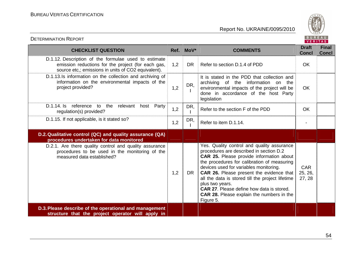

| <b>CHECKLIST QUESTION</b>                                                                                                                                         |     | Ref. MoV* | <b>COMMENTS</b>                                                                                                                                                                                                                                                                                                                                                                                                                                                    | <b>Draft</b><br><b>Concl</b>    | <b>Final</b><br><b>Concl</b> |
|-------------------------------------------------------------------------------------------------------------------------------------------------------------------|-----|-----------|--------------------------------------------------------------------------------------------------------------------------------------------------------------------------------------------------------------------------------------------------------------------------------------------------------------------------------------------------------------------------------------------------------------------------------------------------------------------|---------------------------------|------------------------------|
| D.1.12. Description of the formulae used to estimate<br>emission reductions for the project (for each gas,<br>source etc,; emissions in units of CO2 equivalent). | 1,2 | <b>DR</b> | Refer to section D.1.4 of PDD                                                                                                                                                                                                                                                                                                                                                                                                                                      | <b>OK</b>                       |                              |
| D.1.13.Is information on the collection and archiving of<br>information on the environmental impacts of the<br>project provided?                                  | 1,2 | DR,       | It is stated in the PDD that collection and<br>archiving of the information<br>on<br>the<br>environmental impacts of the project will be<br>done in accordance of the host Party<br>legislation                                                                                                                                                                                                                                                                    | <b>OK</b>                       |                              |
| D.1.14. Is<br>reference to the relevant<br>Party<br>host<br>regulation(s) provided?                                                                               | 1,2 | DR,       | Refer to the section F of the PDD                                                                                                                                                                                                                                                                                                                                                                                                                                  | OK                              |                              |
| D.1.15. If not applicable, is it stated so?                                                                                                                       | 1,2 | DR,       | Refer to item D.1.14.                                                                                                                                                                                                                                                                                                                                                                                                                                              |                                 |                              |
| D.2. Qualitative control (QC) and quality assurance (QA)<br>procedures undertaken for data monitored                                                              |     |           |                                                                                                                                                                                                                                                                                                                                                                                                                                                                    |                                 |                              |
| D.2.1. Are there quality control and quality assurance<br>procedures to be used in the monitoring of the<br>measured data established?                            | 1,2 | DR        | Yes. Quality control and quality assurance<br>procedures are described in section D.2<br>CAR 25. Please provide information about<br>the procedures for calibration of measuring<br>devices used for variables monitoring.<br>CAR 26. Please present the evidence that<br>all the data is stored till the project lifetime<br>plus two years.<br><b>CAR 27.</b> Please define how data is stored.<br><b>CAR 28.</b> Please explain the numbers in the<br>Figure 5. | <b>CAR</b><br>25, 26,<br>27, 28 |                              |
| D.3. Please describe of the operational and management<br>structure that the project operator will apply in                                                       |     |           |                                                                                                                                                                                                                                                                                                                                                                                                                                                                    |                                 |                              |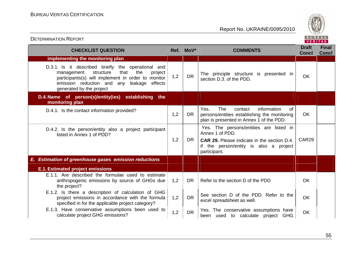

| <b>CHECKLIST QUESTION</b>                                                                                                                                                                                                               | Ref. MoV*        |           | <b>COMMENTS</b>                                                                                                                                                            | <b>Draft</b><br><b>Concl</b> | <b>Final</b><br><b>Concl</b> |
|-----------------------------------------------------------------------------------------------------------------------------------------------------------------------------------------------------------------------------------------|------------------|-----------|----------------------------------------------------------------------------------------------------------------------------------------------------------------------------|------------------------------|------------------------------|
| implementing the monitoring plan                                                                                                                                                                                                        |                  |           |                                                                                                                                                                            |                              |                              |
| D.3.1. Is it described briefly the operational and<br>the<br>structure<br>that<br>project<br>management<br>participants(s) will implement in order to monitor<br>emission reduction and any leakage effects<br>generated by the project | 1,2              | <b>DR</b> | The principle structure is presented in<br>section D.3. of the PDD.                                                                                                        | <b>OK</b>                    |                              |
| establishing<br>D.4. Name of person(s)/entity(ies)<br>the<br>monitoring plan                                                                                                                                                            |                  |           |                                                                                                                                                                            |                              |                              |
| D.4.1. Is the contact information provided?                                                                                                                                                                                             | 1,2              | <b>DR</b> | <b>The</b><br>Yes.<br>contact<br>information<br><sub>of</sub><br>persons/entities establishing the monitoring<br>plan is presented in Annex 1 of the PDD.                  | <b>OK</b>                    |                              |
| D.4.2. Is the person/entity also a project participant<br>listed in Annex 1 of PDD?                                                                                                                                                     | 1,2<br><b>DR</b> |           | Yes. The persons/entities are listed in<br>Annex 1 of PDD.<br><b>CAR 29.</b> Please indicate in the section D.4.<br>if the person/entity is also a project<br>participant. | CAR29                        |                              |
| E. Estimation of greenhouse gases emission reductions                                                                                                                                                                                   |                  |           |                                                                                                                                                                            |                              |                              |
| <b>E.1. Estimated project emissions</b>                                                                                                                                                                                                 |                  |           |                                                                                                                                                                            |                              |                              |
| E.1.1. Are described the formulae used to estimate<br>anthropogenic emissions by source of GHGs due<br>the project?                                                                                                                     | 1,2              | <b>DR</b> | Refer to the section D of the PDD                                                                                                                                          | OK                           |                              |
| E.1.2. Is there a description of calculation of GHG<br>project emissions in accordance with the formula<br>specified in for the applicable project category?                                                                            | 1,2              | <b>DR</b> | See section D of the PDD. Refer to the<br>excel spreadsheet as well.                                                                                                       | OK                           |                              |
| E.1.3. Have conservative assumptions been used to<br>calculate project GHG emissions?                                                                                                                                                   | 1,2              | <b>DR</b> | Yes. The conservative assumptions have<br>been used to calculate project GHG                                                                                               | <b>OK</b>                    |                              |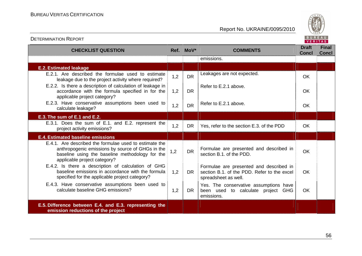

| <b>CHECKLIST QUESTION</b>                                                                                                                                                                     |     | Ref. MoV* | <b>COMMENTS</b>                                                                                                | <b>Draft</b><br><b>Concl</b> | <b>Final</b><br><b>Concl</b> |
|-----------------------------------------------------------------------------------------------------------------------------------------------------------------------------------------------|-----|-----------|----------------------------------------------------------------------------------------------------------------|------------------------------|------------------------------|
|                                                                                                                                                                                               |     |           | emissions.                                                                                                     |                              |                              |
| <b>E.2. Estimated leakage</b>                                                                                                                                                                 |     |           |                                                                                                                |                              |                              |
| E.2.1. Are described the formulae used to estimate<br>leakage due to the project activity where required?                                                                                     | 1,2 | <b>DR</b> | Leakages are not expected.                                                                                     | <b>OK</b>                    |                              |
| E.2.2. Is there a description of calculation of leakage in<br>accordance with the formula specified in for the<br>applicable project category?                                                | 1,2 | <b>DR</b> | Refer to E.2.1 above.                                                                                          | OK.                          |                              |
| E.2.3. Have conservative assumptions been used to<br>calculate leakage?                                                                                                                       | 1,2 | <b>DR</b> | Refer to E.2.1 above.                                                                                          | <b>OK</b>                    |                              |
| E.3. The sum of E.1 and E.2.                                                                                                                                                                  |     |           |                                                                                                                |                              |                              |
| E.3.1. Does the sum of E.1. and E.2. represent the<br>project activity emissions?                                                                                                             | 1,2 | <b>DR</b> | Yes, refer to the section E.3. of the PDD                                                                      | OK                           |                              |
| <b>E.4. Estimated baseline emissions</b>                                                                                                                                                      |     |           |                                                                                                                |                              |                              |
| E.4.1. Are described the formulae used to estimate the<br>anthropogenic emissions by source of GHGs in the<br>baseline using the baseline methodology for the<br>applicable project category? | 1,2 | <b>DR</b> | Formulae are presented and described in<br>section B.1, of the PDD.                                            | <b>OK</b>                    |                              |
| E.4.2. Is there a description of calculation of GHG<br>baseline emissions in accordance with the formula<br>specified for the applicable project category?                                    | 1,2 | <b>DR</b> | Formulae are presented and described in<br>section B.1. of the PDD. Refer to the excel<br>spreadsheet as well. | <b>OK</b>                    |                              |
| E.4.3. Have conservative assumptions been used to<br>calculate baseline GHG emissions?                                                                                                        | 1,2 | <b>DR</b> | Yes. The conservative assumptions have<br>been used to calculate project GHG<br>emissions.                     | OK.                          |                              |
| E.5. Difference between E.4. and E.3. representing the<br>emission reductions of the project                                                                                                  |     |           |                                                                                                                |                              |                              |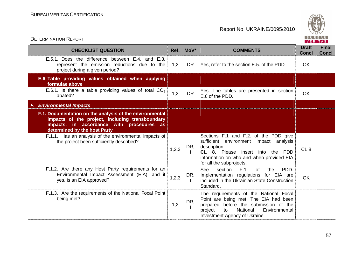

| <b>CHECKLIST QUESTION</b>                                                                                                                                                               |       | Ref. MoV* | <b>COMMENTS</b>                                                                                                                                                                                               | <b>Draft</b><br><b>Concl</b> | <b>Final</b><br><b>Concl</b> |
|-----------------------------------------------------------------------------------------------------------------------------------------------------------------------------------------|-------|-----------|---------------------------------------------------------------------------------------------------------------------------------------------------------------------------------------------------------------|------------------------------|------------------------------|
| E.5.1. Does the difference between E.4. and E.3.<br>represent the emission reductions due to the<br>project during a given period?                                                      | 1,2   | DR.       | Yes, refer to the section E.5. of the PDD                                                                                                                                                                     | <b>OK</b>                    |                              |
| E.6. Table providing values obtained when applying<br>formulae above                                                                                                                    |       |           |                                                                                                                                                                                                               |                              |                              |
| E.6.1. Is there a table providing values of total $CO2$<br>abated?                                                                                                                      | 1,2   | <b>DR</b> | Yes. The tables are presented in section<br>E.6 of the PDD.                                                                                                                                                   | <b>OK</b>                    |                              |
| <b>F. Environmental Impacts</b>                                                                                                                                                         |       |           |                                                                                                                                                                                                               |                              |                              |
| F.1. Documentation on the analysis of the environmental<br>impacts of the project, including transboundary<br>impacts, in accordance with procedures as<br>determined by the host Party |       |           |                                                                                                                                                                                                               |                              |                              |
| F.1.1. Has an analysis of the environmental impacts of<br>the project been sufficiently described?                                                                                      | 1,2,3 | DR,       | Sections F.1 and F.2. of the PDD give<br>sufficient environment impact analysis<br>description.<br>CL 8. Please insert into the PDD<br>information on who and when provided EIA<br>for all the subprojects.   | CL <sub>8</sub>              |                              |
| F.1.2. Are there any Host Party requirements for an<br>Environmental Impact Assessment (EIA), and if<br>yes, is an EIA approved?                                                        | 1,2,3 | DR,       | PDD.<br><b>See</b><br>section<br>F.1.<br><b>of</b><br>the<br>Implementation regulations for EIA are<br>included in the Ukrainian State Construction<br>Standard.                                              | <b>OK</b>                    |                              |
| F.1.3. Are the requirements of the National Focal Point<br>being met?                                                                                                                   | 1,2   | DR,       | The requirements of the National Focal<br>Point are being met. The EIA had been<br>prepared before the submission of the<br>National<br>Environmental<br>project<br>to<br><b>Investment Agency of Ukraine</b> |                              |                              |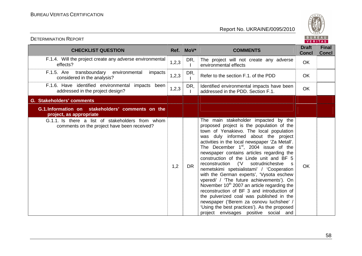

| <b>CHECKLIST QUESTION</b>                                                                       | Ref.    | MoV*      | <b>COMMENTS</b>                                                                                                                                                                                                                                                                                                                                                                                                                                                                                                                                                                                                                                                                                                                                                                                                                                    | <b>Draft</b><br><b>Concl</b> | <b>Final</b><br><b>Concl</b> |
|-------------------------------------------------------------------------------------------------|---------|-----------|----------------------------------------------------------------------------------------------------------------------------------------------------------------------------------------------------------------------------------------------------------------------------------------------------------------------------------------------------------------------------------------------------------------------------------------------------------------------------------------------------------------------------------------------------------------------------------------------------------------------------------------------------------------------------------------------------------------------------------------------------------------------------------------------------------------------------------------------------|------------------------------|------------------------------|
| F.1.4. Will the project create any adverse environmental<br>effects?                            | 1,2,3   | DR,       | The project will not create any adverse<br>environmental effects                                                                                                                                                                                                                                                                                                                                                                                                                                                                                                                                                                                                                                                                                                                                                                                   | OK                           |                              |
| F.1.5. Are transboundary environmental<br>impacts<br>considered in the analysis?                | 1,2,3   | DR,       | Refer to the section F.1, of the PDD                                                                                                                                                                                                                                                                                                                                                                                                                                                                                                                                                                                                                                                                                                                                                                                                               | OK                           |                              |
| F.1.6. Have identified environmental impacts been<br>addressed in the project design?           | 1, 2, 3 | DR,       | Identified environmental impacts have been<br>addressed in the PDD. Section F.1.                                                                                                                                                                                                                                                                                                                                                                                                                                                                                                                                                                                                                                                                                                                                                                   | OK                           |                              |
| G. Stakeholders' comments                                                                       |         |           |                                                                                                                                                                                                                                                                                                                                                                                                                                                                                                                                                                                                                                                                                                                                                                                                                                                    |                              |                              |
| G.1.Information on stakeholders' comments on the<br>project, as appropriate                     |         |           |                                                                                                                                                                                                                                                                                                                                                                                                                                                                                                                                                                                                                                                                                                                                                                                                                                                    |                              |                              |
| G.1.1. Is there a list of stakeholders from whom<br>comments on the project have been received? | 1,2     | <b>DR</b> | The main stakeholder impacted by the<br>proposed project is the population of the<br>town of Yenakievo. The local population<br>was duly informed about the project<br>activities in the local newspaper 'Za Metall'.<br>The December $1st$ , 2004 issue of the<br>newspaper contains articles regarding the<br>construction of the Linde unit and BF 5<br>('V<br>reconstruction<br>sotrudnichestve<br>$\mathbf{s}$<br>nemetskimi spetsialistami' / 'Cooperation<br>with the German experts', 'Vysota eschew<br>vperedi' / 'The future achievements'). On<br>November 10 <sup>th</sup> 2007 an article regarding the<br>reconstruction of BF 3 and introduction of<br>the pulverized coal was published in the<br>newspaper ('Berem za osnovu luchshee' /<br>'Using the best practices'). As the proposed<br>project envisages positive social and | <b>OK</b>                    |                              |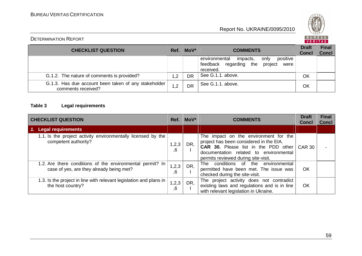

#### DETERMINATION REPORT

**CHECKLIST QUESTION Ref. MoV\* COMMENTS** Draft Final Concl **Concl** environmental impacts, only positive feedback regarding the project were received. See G.1.1. above. G.1.2. The nature of comments is provided? 1,2 DR See G.1.1. above. OK G.1.3. Has due account been taken of any stakeholder  $\begin{array}{|c|c|c|c|c|}\n1.2 & \text{DR} & \text{See G.1.1. above.} \end{array}$  OK

#### **Table 3 Legal requirements**

| <b>CHECKLIST QUESTION</b>                                                                             |             | $Ref.$ MoV* | <b>COMMENTS</b>                                                                                                                                                                                                         | <b>Draft</b><br><b>Concl</b> | <b>Final</b><br><b>Concl</b> |
|-------------------------------------------------------------------------------------------------------|-------------|-------------|-------------------------------------------------------------------------------------------------------------------------------------------------------------------------------------------------------------------------|------------------------------|------------------------------|
| 1. Legal requirements                                                                                 |             |             |                                                                                                                                                                                                                         |                              |                              |
| 1.1. Is the project activity environmentally licensed by the<br>competent authority?                  | 1,2,3<br>6, | DR,         | The impact on the environment for the<br>project has been considered in the EIA.<br><b>CAR 30.</b> Please list in the PDD other CAR 30<br>documentation related to environmental<br>permits reviewed during site-visit. |                              |                              |
| 1.2. Are there conditions of the environmental permit? In<br>case of yes, are they already being met? | 1,2,3<br>6, | DR,         | The conditions of the environmental<br>permitted have been met. The issue was<br>checked during the site-visit.                                                                                                         | OK                           |                              |
| 1.3. Is the project in line with relevant legislation and plans in<br>the host country?               | 1,2,3<br>6, | DR,         | The project activity does not contradict<br>existing laws and regulations and is in line<br>with relevant legislation in Ukraine.                                                                                       | OK                           |                              |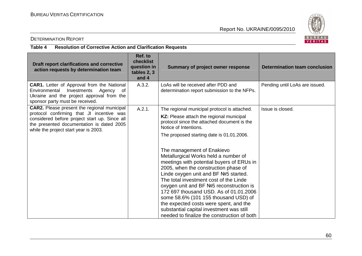

#### DETERMINATION REPORT

#### **Table 4 Resolution of Corrective Action and Clarification Requests**

| Draft report clarifications and corrective<br>action requests by determination team                                                                                               | Ref. to<br>checklist<br>question in<br>tables 2, 3<br>and 4 | Summary of project owner response                                                                                                                                                                                                                                                                                                                                                                                                                                                                            | <b>Determination team conclusion</b> |
|-----------------------------------------------------------------------------------------------------------------------------------------------------------------------------------|-------------------------------------------------------------|--------------------------------------------------------------------------------------------------------------------------------------------------------------------------------------------------------------------------------------------------------------------------------------------------------------------------------------------------------------------------------------------------------------------------------------------------------------------------------------------------------------|--------------------------------------|
| <b>CAR1.</b> Letter of Approval from the National<br>Environmental<br>Investments<br>Agency<br>of<br>Ukraine and the project approval from the<br>sponsor party must be received. | A.3.2.                                                      | LoAs will be received after PDD and<br>determination report submission to the NFPs.                                                                                                                                                                                                                                                                                                                                                                                                                          | Pending until LoAs are issued.       |
| <b>CAR2.</b> Please present the regional municipal                                                                                                                                | A.2.1.                                                      | The regional municipal protocol is attached.                                                                                                                                                                                                                                                                                                                                                                                                                                                                 | Issue is closed.                     |
| protocol confirming that JI incentive was<br>considered before project start up. Since all<br>the presented documentation is dated 2005<br>while the project start year is 2003.  |                                                             | KZ: Please attach the regional municipal<br>protocol since the attached document is the<br>Notice of Intentions.                                                                                                                                                                                                                                                                                                                                                                                             |                                      |
|                                                                                                                                                                                   |                                                             | The proposed starting date is 01.01.2006.                                                                                                                                                                                                                                                                                                                                                                                                                                                                    |                                      |
|                                                                                                                                                                                   |                                                             | The management of Enakievo<br>Metallurgical Works held a number of<br>meetings with potential buyers of ERUs in<br>2005, when the construction phase of<br>Linde oxygen unit and BF Nº5 started.<br>The total investment cost of the Linde<br>oxygen unit and BF №5 reconstruction is<br>172 697 thousand USD. As of 01.01.2006<br>some 58.6% (101 155 thousand USD) of<br>the expected costs were spent, and the<br>substantial capital investment was still<br>needed to finalize the construction of both |                                      |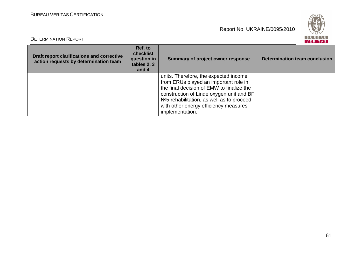DETERMINATION REPORT



| Draft report clarifications and corrective<br>action requests by determination team | Ref. to<br>checklist<br>question in<br>tables 2, 3<br>and 4 | <b>Summary of project owner response</b>                                                                                                                                                                                                                                         | Determination team conclusion |
|-------------------------------------------------------------------------------------|-------------------------------------------------------------|----------------------------------------------------------------------------------------------------------------------------------------------------------------------------------------------------------------------------------------------------------------------------------|-------------------------------|
|                                                                                     |                                                             | units. Therefore, the expected income<br>from ERUs played an important role in<br>the final decision of EMW to finalize the<br>construction of Linde oxygen unit and BF<br>Nº5 rehabilitation, as well as to proceed<br>with other energy efficiency measures<br>implementation. |                               |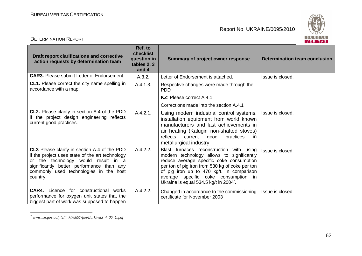

| <b>DETERMINATION REPORT</b>                                                                                                                                                                                                               |                                                             |                                                                                                                                                                                                                                                                                                                   | BUREAU<br><b>VERITAS</b>             |
|-------------------------------------------------------------------------------------------------------------------------------------------------------------------------------------------------------------------------------------------|-------------------------------------------------------------|-------------------------------------------------------------------------------------------------------------------------------------------------------------------------------------------------------------------------------------------------------------------------------------------------------------------|--------------------------------------|
| Draft report clarifications and corrective<br>action requests by determination team                                                                                                                                                       | Ref. to<br>checklist<br>question in<br>tables 2, 3<br>and 4 | Summary of project owner response                                                                                                                                                                                                                                                                                 | <b>Determination team conclusion</b> |
| <b>CAR3.</b> Please submit Letter of Endorsement.                                                                                                                                                                                         | A.3.2.                                                      | Letter of Endorsement is attached.                                                                                                                                                                                                                                                                                | Issue is closed.                     |
| <b>CL1.</b> Please correct the city name spelling in<br>accordance with a map.                                                                                                                                                            | A.4.1.3.                                                    | Respective changes were made through the<br><b>PDD</b>                                                                                                                                                                                                                                                            |                                      |
|                                                                                                                                                                                                                                           |                                                             | KZ: Please correct A.4.1.                                                                                                                                                                                                                                                                                         |                                      |
|                                                                                                                                                                                                                                           |                                                             | Corrections made into the section A.4.1                                                                                                                                                                                                                                                                           |                                      |
| CL2. Please clarify in section A.4 of the PDD<br>if the project design engineering reflects<br>current good practices.                                                                                                                    | A.4.2.1.                                                    | Using modern industrial control systems,<br>installation equipment from world known<br>manufacturers and last achievements in<br>air heating (Kalugin non-shafted stoves)<br>reflects<br>current<br>good<br>practices<br>in.<br>metallurgical industry.                                                           | Issue is closed.                     |
| CL3 Please clarify in section A.4 of the PDD<br>if the project uses state of the art technology<br>or the technology would result in a<br>significantly better performance than any<br>commonly used technologies in the host<br>country. | A.4.2.2.                                                    | Blast furnaces reconstruction with using<br>modern technology allows to significantly<br>reduce average specific coke consumption<br>per ton of pig iron from 530 kg of coke per ton<br>of pig iron up to 470 kg/t. In comparison<br>average specific coke consumption in<br>Ukraine is equal 534.5 kg/t in 2004. | Issue is closed.                     |
| <b>CAR4.</b> Licence for constructional<br>works<br>performance for oxygen unit states that the<br>biggest part of work was supposed to happen                                                                                            | A.4.2.2.                                                    | Changed in accordance to the commissioning<br>certificate for November 2003                                                                                                                                                                                                                                       | Issue is closed.                     |

<sup>\*</sup> *www.me.gov.ua/file/link/78897/file/Burkinski\_4\_06\_U.pdf*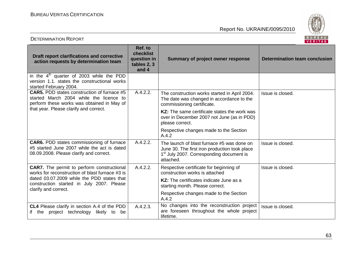DETERMINATION REPORT



| <b>Draft report clarifications and corrective</b><br>action requests by determination team                                                                                                      | Ref. to<br>checklist<br>question in<br>tables 2, 3<br>and 4 | <b>Summary of project owner response</b>                                                                                                                         | <b>Determination team conclusion</b> |
|-------------------------------------------------------------------------------------------------------------------------------------------------------------------------------------------------|-------------------------------------------------------------|------------------------------------------------------------------------------------------------------------------------------------------------------------------|--------------------------------------|
| in the $4th$ quarter of 2003 while the PDD<br>version 1.1. states the constructional works<br>started February 2004.                                                                            |                                                             |                                                                                                                                                                  |                                      |
| <b>CAR5.</b> PDD states construction of furnace #5<br>started March 2004 while the licence to<br>perform these works was obtained in May of                                                     | A.4.2.2.                                                    | The construction works started in April 2004.<br>The date was changed in accordance to the<br>commissioning certificate.                                         | Issue is closed.                     |
| that year. Please clarify and correct.                                                                                                                                                          |                                                             | KZ: The same certificate states the work was<br>over in December 2007 not June (as in PDD)<br>please correct.                                                    |                                      |
|                                                                                                                                                                                                 |                                                             | Respective changes made to the Section<br>A.4.2                                                                                                                  |                                      |
| <b>CAR6.</b> PDD states commissioning of furnace<br>#5 started June 2007 while the act is dated<br>08.09.2008. Please clarify and correct.                                                      | A.4.2.2.                                                    | The launch of blast furnace #5 was done on<br>June 30. The first iron production took place<br>1 <sup>st</sup> July 2007. Corresponding document is<br>attached. | Issue is closed.                     |
| <b>CAR7.</b> The permit to perform constructional<br>works for reconstruction of blast furnace #3 is<br>dated 03.07.2009 while the PDD states that<br>construction started in July 2007. Please | A.4.2.2.                                                    | Respective certificate for beginning of<br>construction works is attached                                                                                        | Issue is closed.                     |
|                                                                                                                                                                                                 |                                                             | <b>KZ:</b> The certificates indicate June as a<br>starting month. Please correct.                                                                                |                                      |
| clarify and correct.                                                                                                                                                                            |                                                             | Respective changes made to the Section<br>A.4.2                                                                                                                  |                                      |
| CL4 Please clarify in section A.4 of the PDD<br>if the project technology likely to<br>be                                                                                                       | A.4.2.3.                                                    | No changes into the reconstruction project<br>are foreseen throughout the whole project<br>lifetime.                                                             | Issue is closed.                     |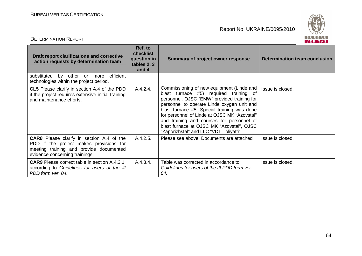

| Draft report clarifications and corrective<br>action requests by determination team                                                                                      | Ref. to<br>checklist<br>question in<br>tables 2, 3<br>and 4 | <b>Summary of project owner response</b>                                                                                                                                                                                                                                                                                                                                                                             | Determination team conclusion |
|--------------------------------------------------------------------------------------------------------------------------------------------------------------------------|-------------------------------------------------------------|----------------------------------------------------------------------------------------------------------------------------------------------------------------------------------------------------------------------------------------------------------------------------------------------------------------------------------------------------------------------------------------------------------------------|-------------------------------|
| by other<br>efficient<br>substituted<br>or more<br>technologies within the project period.                                                                               |                                                             |                                                                                                                                                                                                                                                                                                                                                                                                                      |                               |
| CL5 Please clarify in section A.4 of the PDD<br>if the project requires extensive initial training<br>and maintenance efforts.                                           | A.4.2.4.                                                    | Commissioning of new equipment (Linde and<br>blast furnace #5) required training of<br>personnel. OJSC "EMW" provided training for<br>personnel to operate Linde oxygen unit and<br>blast furnace #5. Special training was done<br>for personnel of Linde at OJSC MK "Azovstal"<br>and training and courses for personnel of<br>blast furnace at OJSC MK "Azovstal", OJSC<br>"Zaporizhstal" and LLC "VDT Toliyatti". | Issue is closed.              |
| <b>CAR8</b> Please clarify in section A.4 of the<br>PDD if the project makes provisions for<br>meeting training and provide documented<br>evidence concerning trainings. | A.4.2.5.                                                    | Please see above. Documents are attached                                                                                                                                                                                                                                                                                                                                                                             | Issue is closed.              |
| <b>CAR9</b> Please correct table in section A.4.3.1.<br>according to Guidelines for users of the JI<br>PDD form ver. 04.                                                 | A.4.3.4.                                                    | Table was corrected in accordance to<br>Guidelines for users of the JI PDD form ver.<br>04.                                                                                                                                                                                                                                                                                                                          | Issue is closed.              |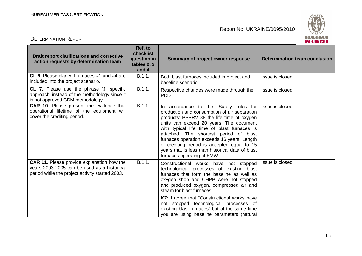

| Draft report clarifications and corrective<br>action requests by determination team                                                                 | Ref. to<br>checklist<br>question in<br>tables 2, 3<br>and 4 | <b>Summary of project owner response</b>                                                                                                                                                                                                                                                                                                                                                                                                                 | <b>Determination team conclusion</b> |
|-----------------------------------------------------------------------------------------------------------------------------------------------------|-------------------------------------------------------------|----------------------------------------------------------------------------------------------------------------------------------------------------------------------------------------------------------------------------------------------------------------------------------------------------------------------------------------------------------------------------------------------------------------------------------------------------------|--------------------------------------|
| CL 6. Please clarify if furnaces #1 and #4 are<br>included into the project scenario.                                                               | B.1.1.                                                      | Both blast furnaces included in project and<br>baseline scenario                                                                                                                                                                                                                                                                                                                                                                                         | Issue is closed.                     |
| <b>CL 7.</b> Please use the phrase 'JI specific<br>approach' instead of the methodology since it<br>is not approved CDM methodology.                | B.1.1.                                                      | Respective changes were made through the<br><b>PDD</b>                                                                                                                                                                                                                                                                                                                                                                                                   | Issue is closed.                     |
| CAR 10. Please present the evidence that<br>operational lifetime of the equipment will<br>cover the crediting period.                               | B.1.1.                                                      | In accordance to the 'Safety rules for<br>production and consumption of air separation<br>products' PBPRV 88 the life time of oxygen<br>units can exceed 20 years. The document<br>with typical life time of blast furnaces is<br>attached. The shortest period of blast<br>furnaces operation exceeds 16 years. Length<br>of crediting period is accepted equal to 15<br>years that is less than historical data of blast<br>furnaces operating at EMW. | Issue is closed.                     |
| <b>CAR 11.</b> Please provide explanation how the<br>years 2003-2005 can be used as a historical<br>period while the project activity started 2003. | B.1.1.                                                      | Constructional works have not stopped<br>technological processes of existing blast<br>furnaces that form the baseline as well as<br>oxygen shop and CHPP were not stopped<br>and produced oxygen, compressed air and<br>steam for blast furnaces.                                                                                                                                                                                                        | Issue is closed.                     |
|                                                                                                                                                     |                                                             | KZ: I agree that "Constructional works have<br>not stopped technological processes of<br>existing blast furnaces" but at the same time<br>you are using baseline parameters (natural                                                                                                                                                                                                                                                                     |                                      |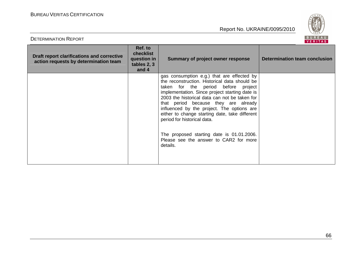

| DETERMINATION REPORT                                                                       |                                                             |                                                                                                                                                                                                                                                                                                                                                                                                                                                                                                                 | B U K E A U<br><b>VERITAS</b> |
|--------------------------------------------------------------------------------------------|-------------------------------------------------------------|-----------------------------------------------------------------------------------------------------------------------------------------------------------------------------------------------------------------------------------------------------------------------------------------------------------------------------------------------------------------------------------------------------------------------------------------------------------------------------------------------------------------|-------------------------------|
| <b>Draft report clarifications and corrective</b><br>action requests by determination team | Ref. to<br>checklist<br>question in<br>tables 2, 3<br>and 4 | Summary of project owner response                                                                                                                                                                                                                                                                                                                                                                                                                                                                               | Determination team conclusion |
|                                                                                            |                                                             | gas consumption e.g.) that are effected by<br>the reconstruction. Historical data should be<br>taken for the period before project<br>implementation. Since project starting date is<br>2003 the historical data can not be taken for<br>that period because they are already<br>influenced by the project. The options are<br>either to change starting date, take different<br>period for historical data.<br>The proposed starting date is 01.01.2006.<br>Please see the answer to CAR2 for more<br>details. |                               |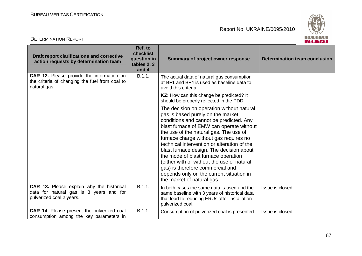

| Draft report clarifications and corrective<br>action requests by determination team                                | Ref. to<br>checklist<br>question in<br>tables 2, 3<br>and 4 | <b>Summary of project owner response</b>                                                                                                                                                                                                                                                                                                                                                                                                                                                                                                                | <b>Determination team conclusion</b> |
|--------------------------------------------------------------------------------------------------------------------|-------------------------------------------------------------|---------------------------------------------------------------------------------------------------------------------------------------------------------------------------------------------------------------------------------------------------------------------------------------------------------------------------------------------------------------------------------------------------------------------------------------------------------------------------------------------------------------------------------------------------------|--------------------------------------|
| <b>CAR 12.</b> Please provide the information on<br>the criteria of changing the fuel from coal to<br>natural gas. | B.1.1.                                                      | The actual data of natural gas consumption<br>at BF1 and BF4 is used as baseline data to<br>avoid this criteria                                                                                                                                                                                                                                                                                                                                                                                                                                         |                                      |
|                                                                                                                    |                                                             | KZ: How can this change be predicted? It<br>should be properly reflected in the PDD.                                                                                                                                                                                                                                                                                                                                                                                                                                                                    |                                      |
|                                                                                                                    |                                                             | The decision on operation without natural<br>gas is based purely on the market<br>conditions and cannot be predicted. Any<br>blast furnace of EMW can operate without<br>the use of the natural gas. The use of<br>furnace charge without gas requires no<br>technical intervention or alteration of the<br>blast furnace design. The decision about<br>the mode of blast furnace operation<br>(either with or without the use of natural<br>gas) is therefore commercial and<br>depends only on the current situation in<br>the market of natural gas. |                                      |
| CAR 13. Please explain why the historical<br>data for natural gas is 3 years and for<br>pulverized coal 2 years.   | B.1.1.                                                      | In both cases the same data is used and the<br>same baseline with 3 years of historical data<br>that lead to reducing ERUs after installation<br>pulverized coal.                                                                                                                                                                                                                                                                                                                                                                                       | Issue is closed.                     |
| CAR 14. Please present the pulverized coal<br>consumption among the key parameters in                              | B.1.1.                                                      | Consumption of pulverized coal is presented                                                                                                                                                                                                                                                                                                                                                                                                                                                                                                             | Issue is closed.                     |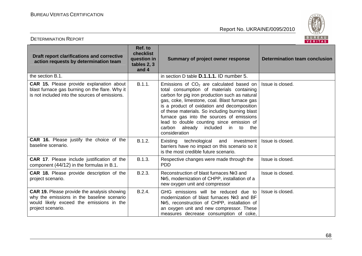

| Draft report clarifications and corrective<br>action requests by determination team                                                                               | Ref. to<br>checklist<br>question in<br>tables 2, 3<br>and 4 | <b>Summary of project owner response</b>                                                                                                                                                                                                                                                                                                                                                                                                             | <b>Determination team conclusion</b> |
|-------------------------------------------------------------------------------------------------------------------------------------------------------------------|-------------------------------------------------------------|------------------------------------------------------------------------------------------------------------------------------------------------------------------------------------------------------------------------------------------------------------------------------------------------------------------------------------------------------------------------------------------------------------------------------------------------------|--------------------------------------|
| the section B.1.                                                                                                                                                  |                                                             | in section D table <b>D.1.1.1.</b> ID number 5.                                                                                                                                                                                                                                                                                                                                                                                                      |                                      |
| <b>CAR 15.</b> Please provide explanation about<br>blast furnace gas burning on the flare. Why it<br>is not included into the sources of emissions.               | B.1.1.                                                      | Emissions of $CO2$ are calculated based on<br>total consumption of materials containing<br>carbon for pig iron production such as natural<br>gas, coke, limestone, coal. Blast furnace gas<br>is a product of oxidation and decomposition<br>of these materials. So including burning blast<br>furnace gas into the sources of emissions<br>lead to double counting since emission of<br>already<br>included<br>in to the<br>carbon<br>consideration | Issue is closed.                     |
| CAR 16. Please justify the choice of the<br>baseline scenario.                                                                                                    | B.1.2.                                                      | Existing technological and<br>investment<br>barriers have no impact on this scenario so it<br>is the most credible future scenario.                                                                                                                                                                                                                                                                                                                  | Issue is closed.                     |
| CAR 17. Please include justification of the<br>component (44/12) in the formulas in B.1.                                                                          | B.1.3.                                                      | Respective changes were made through the<br><b>PDD</b>                                                                                                                                                                                                                                                                                                                                                                                               | Issue is closed.                     |
| CAR 18. Please provide description of the<br>project scenario.                                                                                                    | B.2.3.                                                      | Reconstruction of blast furnaces Nº3 and<br>Nº5, modernization of CHPP, installation of a<br>new oxygen unit and compressor                                                                                                                                                                                                                                                                                                                          | Issue is closed.                     |
| <b>CAR 19.</b> Please provide the analysis showing<br>why the emissions in the baseline scenario<br>would likely exceed the emissions in the<br>project scenario. | B.2.4.                                                      | GHG emissions will be reduced due to<br>modernization of blast furnaces Nº3 and BF<br>Nº5, reconstruction of CHPP, installation of<br>an oxygen unit and new compressor. These<br>measures decrease consumption of coke,                                                                                                                                                                                                                             | Issue is closed.                     |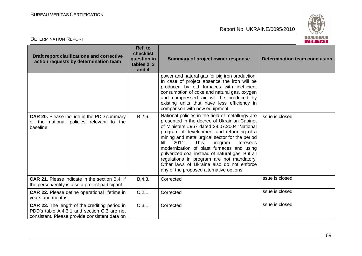

| <b>DETERMINATION REPORT</b>                                                                                                                          |                                                             |                                                                                                                                                                                                                                                                                                                                                                                                                                                                                                                                              | BUREAU<br><b>VERITAS</b>      |
|------------------------------------------------------------------------------------------------------------------------------------------------------|-------------------------------------------------------------|----------------------------------------------------------------------------------------------------------------------------------------------------------------------------------------------------------------------------------------------------------------------------------------------------------------------------------------------------------------------------------------------------------------------------------------------------------------------------------------------------------------------------------------------|-------------------------------|
| Draft report clarifications and corrective<br>action requests by determination team                                                                  | Ref. to<br>checklist<br>question in<br>tables 2, 3<br>and 4 | <b>Summary of project owner response</b>                                                                                                                                                                                                                                                                                                                                                                                                                                                                                                     | Determination team conclusion |
|                                                                                                                                                      |                                                             | power and natural gas for pig iron production.<br>In case of project absence the iron will be<br>produced by old furnaces with inefficient<br>consumption of coke and natural gas, oxygen<br>and compressed air will be produced by<br>existing units that have less efficiency in<br>comparison with new equipment.                                                                                                                                                                                                                         |                               |
| <b>CAR 20.</b> Please include in the PDD summary<br>of the national policies relevant to the<br>baseline.                                            | B.2.6.                                                      | National policies in the field of metallurgy are<br>presented in the decree of Ukrainian Cabinet<br>of Ministers #967 dated 28.07.2004 'National<br>program of development and reforming of a<br>mining and metallurgical sector for the period<br>2011'.<br><b>This</b><br>till<br>foresees<br>program<br>modernization of blast furnaces and using<br>pulverized coal instead of natural gas. But all<br>regulations in program are not mandatory.<br>Other laws of Ukraine also do not enforce<br>any of the proposed alternative options | Issue is closed.              |
| <b>CAR 21.</b> Please indicate in the section B.4. if<br>the person/entity is also a project participant.                                            | B.4.3.                                                      | Corrected                                                                                                                                                                                                                                                                                                                                                                                                                                                                                                                                    | Issue is closed.              |
| <b>CAR 22.</b> Please define operational lifetime in<br>years and months.                                                                            | C.2.1.                                                      | Corrected                                                                                                                                                                                                                                                                                                                                                                                                                                                                                                                                    | Issue is closed.              |
| <b>CAR 23.</b> The length of the crediting period in<br>PDD's table A.4.3.1 and section C.3 are not<br>consistent. Please provide consistent data on | C.3.1.                                                      | Corrected                                                                                                                                                                                                                                                                                                                                                                                                                                                                                                                                    | Issue is closed.              |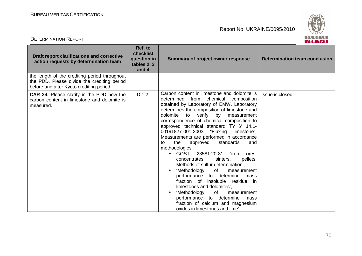DETERMINATION REPORT



| Draft report clarifications and corrective<br>action requests by determination team                                                      | Ref. to<br>checklist<br>question in<br>tables 2, 3<br>and 4 | <b>Summary of project owner response</b>                                                                                                                                                                                                                                                                                                                                                                                                                                                                                                                                                                                                                                                                                                                                                                                                                                                          | <b>Determination team conclusion</b> |
|------------------------------------------------------------------------------------------------------------------------------------------|-------------------------------------------------------------|---------------------------------------------------------------------------------------------------------------------------------------------------------------------------------------------------------------------------------------------------------------------------------------------------------------------------------------------------------------------------------------------------------------------------------------------------------------------------------------------------------------------------------------------------------------------------------------------------------------------------------------------------------------------------------------------------------------------------------------------------------------------------------------------------------------------------------------------------------------------------------------------------|--------------------------------------|
| the length of the crediting period throughout<br>the PDD. Please divide the crediting period<br>before and after Kyoto crediting period. |                                                             |                                                                                                                                                                                                                                                                                                                                                                                                                                                                                                                                                                                                                                                                                                                                                                                                                                                                                                   |                                      |
| <b>CAR 24.</b> Please clarify in the PDD how the<br>carbon content in limestone and dolomite is<br>measured.                             | D.1.2.                                                      | Carbon content in limestone and dolomite is<br>determined from chemical composition<br>obtained by Laboratory of EMW. Laboratory<br>determines the composition of limestone and<br>verify<br>dolomite<br>to<br>by measurement<br>correspondence of chemical composition to<br>approved technical standard TY Y 14.1-<br>00191827-001-2003 "Fluxing limestone".<br>Measurements are performed in accordance<br>the<br>standards<br>approved<br>and<br>to<br>methodologies<br>$\bullet$ GOST<br>23581.20-81<br>ʻiron<br>ores.<br>pellets.<br>concentrates,<br>sinters,<br>Methods of sulfur determination',<br>'Methodology<br>of<br>measurement<br>performance to determine mass<br>fraction of<br>insoluble residue in<br>limestones and dolomites',<br>'Methodology<br>of<br>measurement<br>performance to determine mass<br>fraction of calcium and magnesium<br>oxides in limestones and lime' | Issue is closed.                     |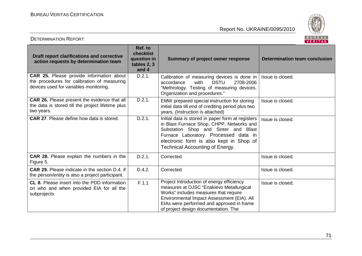

| Draft report clarifications and corrective<br>action requests by determination team                                                      | Ref. to<br>checklist<br>question in<br>tables 2, 3<br>and 4 | <b>Summary of project owner response</b>                                                                                                                                                                                                                             | <b>Determination team conclusion</b> |
|------------------------------------------------------------------------------------------------------------------------------------------|-------------------------------------------------------------|----------------------------------------------------------------------------------------------------------------------------------------------------------------------------------------------------------------------------------------------------------------------|--------------------------------------|
| <b>CAR 25.</b> Please provide information about<br>the procedures for calibration of measuring<br>devices used for variables monitoring. | D.2.1.                                                      | Calibration of measuring devices is done in<br><b>DSTU</b><br>2708-2006<br>accordance<br>with<br>"Methrology. Testing of measuring devices.<br>Organization and procedures."                                                                                         | Issue is closed.                     |
| <b>CAR 26.</b> Please present the evidence that all<br>the data is stored till the project lifetime plus<br>two years.                   | D.2.1.                                                      | EMW prepared special instruction for storing<br>initial data till end of crediting period plus two<br>years. (Instruction is attached)                                                                                                                               | Issue is closed.                     |
| <b>CAR 27.</b> Please define how data is stored.                                                                                         | D.2.1.                                                      | Initial data is stored in paper form at registers<br>in Blast Furnace Shop, CHPP, Networks and<br>Substation Shop and Sinter and Blast<br>Furnace Laboratory. Processed data in<br>electronic form is also kept in Shop of<br><b>Technical Accounting of Energy.</b> | Issue is closed.                     |
| CAR 28. Please explain the numbers in the<br>Figure 5.                                                                                   | D.2.1.                                                      | Corrected                                                                                                                                                                                                                                                            | Issue is closed.                     |
| CAR 29. Please indicate in the section D.4. if<br>the person/entity is also a project participant.                                       | D.4.2.                                                      | Corrected                                                                                                                                                                                                                                                            | Issue is closed.                     |
| CL 8. Please insert into the PDD information<br>on who and when provided EIA for all the<br>subprojects                                  | F.1.1                                                       | Project Introduction of energy efficiency<br>measures at OJSC "Enakievo Metallurgical<br>Works" includes measures that require<br>Environmental Impact Assessment (EIA). All<br>EIAs were performed and approved in frame<br>of project design documentation. The    | Issue is closed.                     |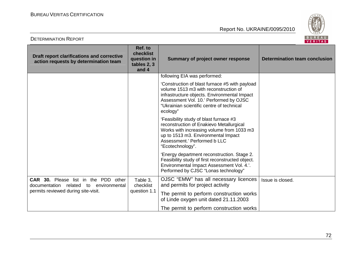DETERMINATION REPORT



| Draft report clarifications and corrective<br>action requests by determination team                                          | Ref. to<br>checklist<br>question in<br>tables 2, 3<br>and 4 | <b>Summary of project owner response</b>                                                                                                                                                                                                                                   | <b>Determination team conclusion</b> |
|------------------------------------------------------------------------------------------------------------------------------|-------------------------------------------------------------|----------------------------------------------------------------------------------------------------------------------------------------------------------------------------------------------------------------------------------------------------------------------------|--------------------------------------|
|                                                                                                                              |                                                             | following EIA was performed:<br>'Construction of blast furnace #5 with payload<br>volume 1513 m3 with reconstruction of<br>infrastructure objects. Environmental Impact<br>Assessment Vol. 10.' Performed by OJSC<br>"Ukrainian scientific centre of technical<br>ecology" |                                      |
|                                                                                                                              |                                                             | 'Feasibility study of blast furnace #3<br>reconstruction of Enakievo Metallurgical<br>Works with increasing volume from 1033 m3<br>up to 1513 m3. Environmental Impact<br>Assessment.' Performed b LLC<br>"Ecotechnology".                                                 |                                      |
|                                                                                                                              |                                                             | 'Energy department reconstruction. Stage 2.<br>Feasibility study of first reconstructed object.<br>Environmental Impact Assessment Vol. 4.'.<br>Performed by CJSC "Lonas technology"                                                                                       |                                      |
| <b>CAR 30.</b> Please list in the PDD other<br>documentation related to environmental<br>permits reviewed during site-visit. | Table 3,<br>checklist<br>question 1.1                       | OJSC "EMW" has all necessary licences<br>and permits for project activity<br>The permit to perform construction works                                                                                                                                                      | Issue is closed.                     |
|                                                                                                                              |                                                             | of Linde oxygen unit dated 21.11.2003<br>The permit to perform construction works                                                                                                                                                                                          |                                      |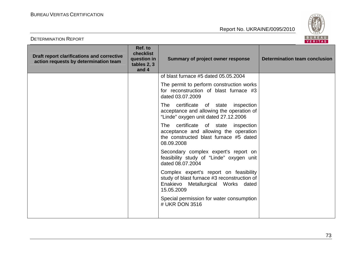Report No. UKRAINE/0095/2010



| <b>DETERMINATION REPORT</b>                                                         |                                                             |                                                                                                                                           | BUREAU<br><b>VERITAS</b>             |
|-------------------------------------------------------------------------------------|-------------------------------------------------------------|-------------------------------------------------------------------------------------------------------------------------------------------|--------------------------------------|
| Draft report clarifications and corrective<br>action requests by determination team | Ref. to<br>checklist<br>question in<br>tables 2, 3<br>and 4 | <b>Summary of project owner response</b>                                                                                                  | <b>Determination team conclusion</b> |
|                                                                                     |                                                             | of blast furnace #5 dated 05.05.2004                                                                                                      |                                      |
|                                                                                     |                                                             | The permit to perform construction works<br>for reconstruction of blast furnace #3<br>dated 03.07.2009                                    |                                      |
|                                                                                     |                                                             | The certificate of state inspection<br>acceptance and allowing the operation of<br>"Linde" oxygen unit dated 27.12.2006                   |                                      |
|                                                                                     |                                                             | The certificate of state inspection<br>acceptance and allowing the operation<br>the constructed blast furnace #5 dated<br>08.09.2008      |                                      |
|                                                                                     |                                                             | Secondary complex expert's report on<br>feasibility study of "Linde" oxygen unit<br>dated 08.07.2004                                      |                                      |
|                                                                                     |                                                             | Complex expert's report on feasibility<br>study of blast furnace #3 reconstruction of<br>Enakievo Metallurgical Works dated<br>15.05.2009 |                                      |
|                                                                                     |                                                             | Special permission for water consumption<br># UKR DON 3516                                                                                |                                      |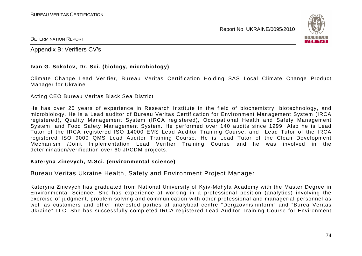Report No. UKRAINE/0095/2010



### DETERMINATION REPORT

Appendix B: Verifiers CV's

## **Ivan G. Sokolov, Dr. Sci. (biology, microbiology)**

Climate Change Lead Verifier, Bureau Veritas Certification Holding SAS Local Climate Change Product Manager for Ukraine

Acting CEO Bureau Veritas Black Sea District

He has over 25 years of experience in Research Institute in the field of biochemistry, biotechnology, and microbiology. He is a Lead auditor of Bureau Veritas Certification for Environment Management System (IRCA registered), Quality Management System (IRCA registered), Occupational Health and Safety Management System, and Food Safety Management System. He performed over 140 audits since 1999. Also he is Lead Tutor of the IRCA registered ISO 14000 EMS Lead Auditor Training Course, and Lead Tutor of the IRCA registered ISO 9000 QMS Lead Auditor Training Course. He is Lead Tutor of the Clean Development Mechanism /Joint Implementation Lead Verifier Training Course and he was involved in the determination/verification over 60 JI/CDM projects.

## **Kateryna Zinevych, M.Sci. (environmental science)**

# Bureau Veritas Ukraine Health, Safety and Environment Project Manager

Kateryna Zinevych has graduated from National University of Kyiv-Mohyla Academy with the Master Degree in Environmental Science. She has experience at working in a professional position (analytics) involving the exercise of judgment, problem solving and communication with other professional and managerial personnel as well as customers and other interested parties at analytical centre "Dergzovnishinform" and "Burea Veritas Ukraine" LLC. She has successfully completed IRCA registered Lead Auditor Training Course for Environment